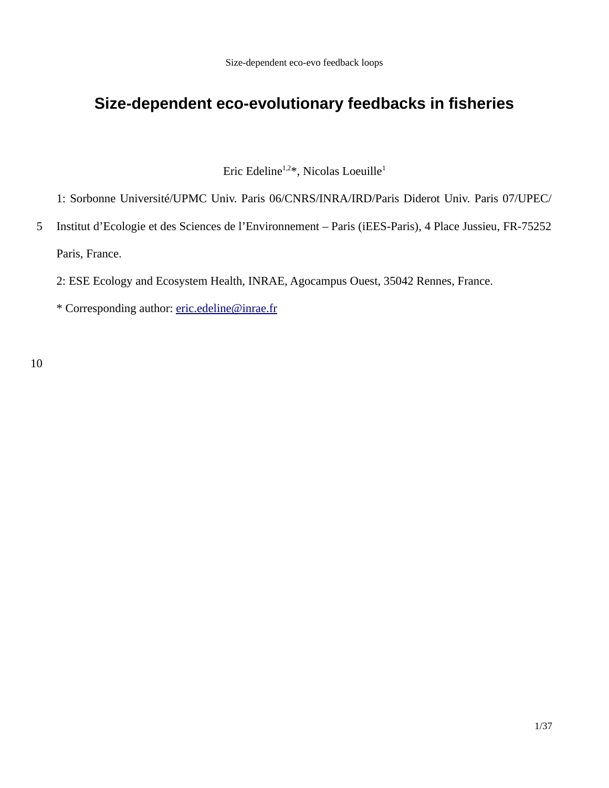# **Size-dependent eco-evolutionary feedbacks in fisheries**

Eric Edeline<sup>1,2\*</sup>, Nicolas Loeuille<sup>1</sup>

1: Sorbonne Université/UPMC Univ. Paris 06/CNRS/INRA/IRD/Paris Diderot Univ. Paris 07/UPEC/

Institut d'Ecologie et des Sciences de l'Environnement – Paris (iEES-Paris), 4 Place Jussieu, FR-75252 Paris, France. 5

2: ESE Ecology and Ecosystem Health, INRAE, Agocampus Ouest, 35042 Rennes, France.

\* Corresponding author: eric.edeline@inrae.fr

10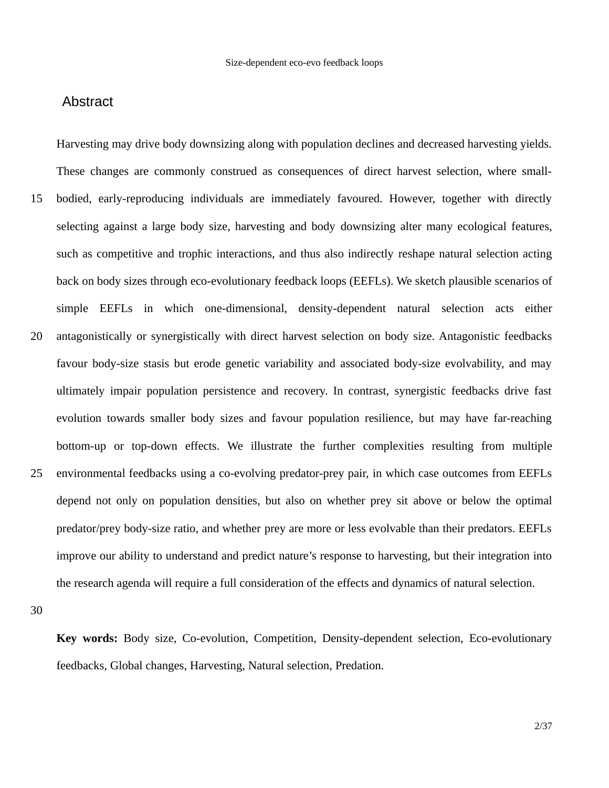# Abstract

Harvesting may drive body downsizing along with population declines and decreased harvesting yields. These changes are commonly construed as consequences of direct harvest selection, where smallbodied, early-reproducing individuals are immediately favoured. However, together with directly selecting against a large body size, harvesting and body downsizing alter many ecological features, such as competitive and trophic interactions, and thus also indirectly reshape natural selection acting back on body sizes through eco-evolutionary feedback loops (EEFLs). We sketch plausible scenarios of simple EEFLs in which one-dimensional, density-dependent natural selection acts either antagonistically or synergistically with direct harvest selection on body size. Antagonistic feedbacks favour body-size stasis but erode genetic variability and associated body-size evolvability, and may ultimately impair population persistence and recovery. In contrast, synergistic feedbacks drive fast evolution towards smaller body sizes and favour population resilience, but may have far-reaching bottom-up or top-down effects. We illustrate the further complexities resulting from multiple environmental feedbacks using a co-evolving predator-prey pair, in which case outcomes from EEFLs depend not only on population densities, but also on whether prey sit above or below the optimal predator/prey body-size ratio, and whether prey are more or less evolvable than their predators. EEFLs improve our ability to understand and predict nature's response to harvesting, but their integration into the research agenda will require a full consideration of the effects and dynamics of natural selection. 15 20 25

30

**Key words:** Body size, Co-evolution, Competition, Density-dependent selection, Eco-evolutionary feedbacks, Global changes, Harvesting, Natural selection, Predation.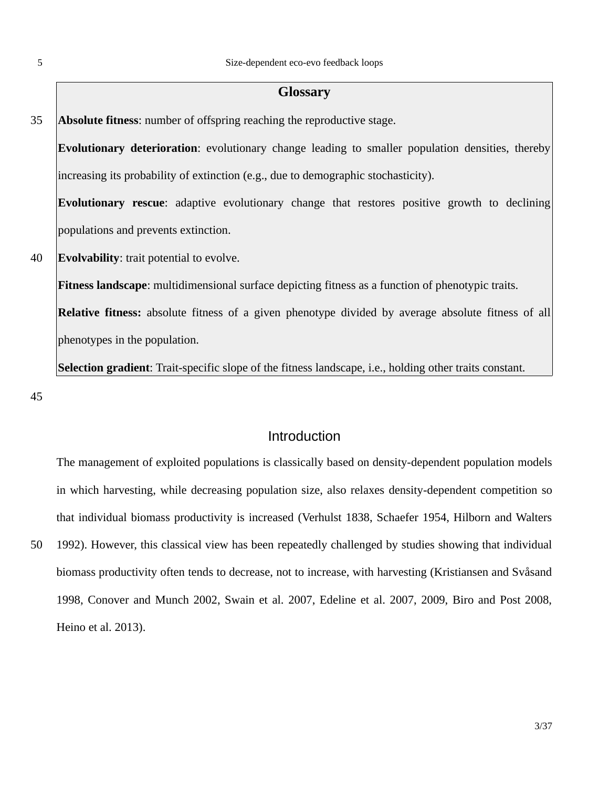#### 5

#### **Glossary**

**Absolute fitness**: number of offspring reaching the reproductive stage. 35

**Evolutionary deterioration**: evolutionary change leading to smaller population densities, thereby increasing its probability of extinction (e.g., due to demographic stochasticity).

**Evolutionary rescue**: adaptive evolutionary change that restores positive growth to declining populations and prevents extinction.

**Evolvability**: trait potential to evolve. 40

**Fitness landscape**: multidimensional surface depicting fitness as a function of phenotypic traits.

**Relative fitness:** absolute fitness of a given phenotype divided by average absolute fitness of all phenotypes in the population.

**Selection gradient**: Trait-specific slope of the fitness landscape, i.e., holding other traits constant.

45

50

# Introduction

The management of exploited populations is classically based on density-dependent population models in which harvesting, while decreasing population size, also relaxes density-dependent competition so that individual biomass productivity is increased (Verhulst 1838, Schaefer 1954, Hilborn and Walters 1992). However, this classical view has been repeatedly challenged by studies showing that individual biomass productivity often tends to decrease, not to increase, with harvesting (Kristiansen and Svåsand 1998, Conover and Munch 2002, Swain et al. 2007, Edeline et al. 2007, 2009, Biro and Post 2008, Heino et al. 2013).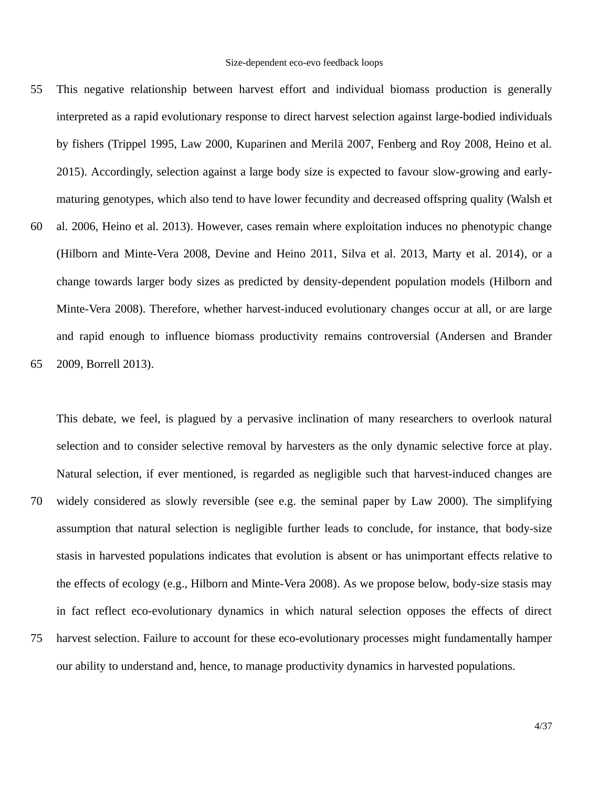- This negative relationship between harvest effort and individual biomass production is generally interpreted as a rapid evolutionary response to direct harvest selection against large-bodied individuals by fishers (Trippel 1995, Law 2000, Kuparinen and Merilä 2007, Fenberg and Roy 2008, Heino et al. 2015). Accordingly, selection against a large body size is expected to favour slow-growing and earlymaturing genotypes, which also tend to have lower fecundity and decreased offspring quality (Walsh et 55
- al. 2006, Heino et al. 2013). However, cases remain where exploitation induces no phenotypic change (Hilborn and Minte-Vera 2008, Devine and Heino 2011, Silva et al. 2013, Marty et al. 2014), or a change towards larger body sizes as predicted by density-dependent population models (Hilborn and Minte-Vera 2008). Therefore, whether harvest-induced evolutionary changes occur at all, or are large and rapid enough to influence biomass productivity remains controversial (Andersen and Brander 60 65

2009, Borrell 2013).

This debate, we feel, is plagued by a pervasive inclination of many researchers to overlook natural selection and to consider selective removal by harvesters as the only dynamic selective force at play. Natural selection, if ever mentioned, is regarded as negligible such that harvest-induced changes are widely considered as slowly reversible (see e.g. the seminal paper by Law 2000). The simplifying assumption that natural selection is negligible further leads to conclude, for instance, that body-size stasis in harvested populations indicates that evolution is absent or has unimportant effects relative to the effects of ecology (e.g., Hilborn and Minte-Vera 2008). As we propose below, body-size stasis may in fact reflect eco-evolutionary dynamics in which natural selection opposes the effects of direct harvest selection. Failure to account for these eco-evolutionary processes might fundamentally hamper our ability to understand and, hence, to manage productivity dynamics in harvested populations. 70 75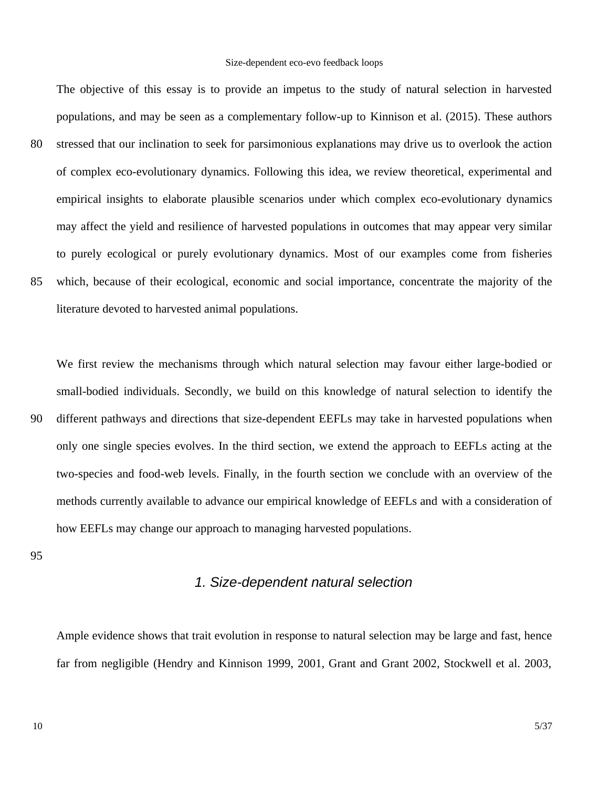The objective of this essay is to provide an impetus to the study of natural selection in harvested populations, and may be seen as a complementary follow-up to Kinnison et al. (2015). These authors stressed that our inclination to seek for parsimonious explanations may drive us to overlook the action of complex eco-evolutionary dynamics. Following this idea, we review theoretical, experimental and empirical insights to elaborate plausible scenarios under which complex eco-evolutionary dynamics may affect the yield and resilience of harvested populations in outcomes that may appear very similar to purely ecological or purely evolutionary dynamics. Most of our examples come from fisheries which, because of their ecological, economic and social importance, concentrate the majority of the literature devoted to harvested animal populations. 80 85

We first review the mechanisms through which natural selection may favour either large-bodied or small-bodied individuals. Secondly, we build on this knowledge of natural selection to identify the different pathways and directions that size-dependent EEFLs may take in harvested populations when only one single species evolves. In the third section, we extend the approach to EEFLs acting at the two-species and food-web levels. Finally, in the fourth section we conclude with an overview of the methods currently available to advance our empirical knowledge of EEFLs and with a consideration of how EEFLs may change our approach to managing harvested populations. 90

95

# *1. Size-dependent natural selection*

Ample evidence shows that trait evolution in response to natural selection may be large and fast, hence far from negligible (Hendry and Kinnison 1999, 2001, Grant and Grant 2002, Stockwell et al. 2003,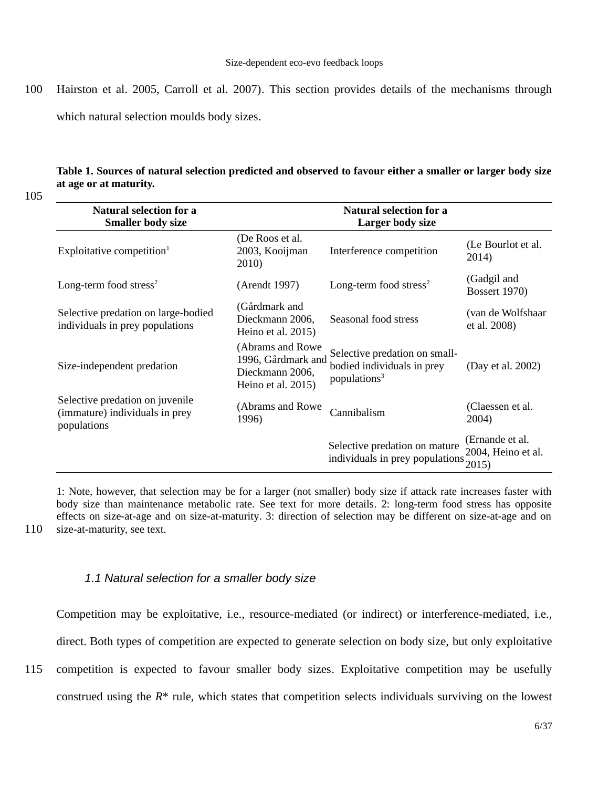Hairston et al. 2005, Carroll et al. 2007). This section provides details of the mechanisms through which natural selection moulds body sizes. 100

# **Table 1. Sources of natural selection predicted and observed to favour either a smaller or larger body size at age or at maturity.**

105

| <b>Natural selection for a</b><br><b>Smaller body size</b>                       |                                                                                 | <b>Natural selection for a</b><br><b>Larger body size</b>                               |                                       |
|----------------------------------------------------------------------------------|---------------------------------------------------------------------------------|-----------------------------------------------------------------------------------------|---------------------------------------|
| Exploitative competition $1$                                                     | (De Roos et al.<br>2003, Kooijman<br>2010)                                      | Interference competition                                                                | (Le Bourlot et al.<br>2014)           |
| Long-term food stress <sup>2</sup>                                               | (Arendt 1997)                                                                   | Long-term food stress <sup>2</sup>                                                      | (Gadgil and<br><b>Bossert 1970)</b>   |
| Selective predation on large-bodied<br>individuals in prey populations           | (Gårdmark and<br>Dieckmann 2006,<br>Heino et al. 2015)                          | Seasonal food stress                                                                    | (van de Wolfshaar<br>et al. 2008)     |
| Size-independent predation                                                       | (Abrams and Rowe<br>1996, Gårdmark and<br>Dieckmann 2006,<br>Heino et al. 2015) | Selective predation on small-<br>bodied individuals in prey<br>populations <sup>3</sup> | (Day et al. 2002)                     |
| Selective predation on juvenile<br>(immature) individuals in prey<br>populations | (Abrams and Rowe<br>1996)                                                       | Cannibalism                                                                             | (Claessen et al.<br>2004)             |
|                                                                                  |                                                                                 | Selective predation on mature<br>individuals in prey populations $2015$                 | (Ernande et al.<br>2004, Heino et al. |

1: Note, however, that selection may be for a larger (not smaller) body size if attack rate increases faster with body size than maintenance metabolic rate. See text for more details. 2: long-term food stress has opposite effects on size-at-age and on size-at-maturity. 3: direction of selection may be different on size-at-age and on size-at-maturity, see text.

110

# *1.1 Natural selection for a smaller body size*

Competition may be exploitative, i.e., resource-mediated (or indirect) or interference-mediated, i.e.,

direct. Both types of competition are expected to generate selection on body size, but only exploitative

competition is expected to favour smaller body sizes. Exploitative competition may be usefully 115

construed using the *R*\* rule, which states that competition selects individuals surviving on the lowest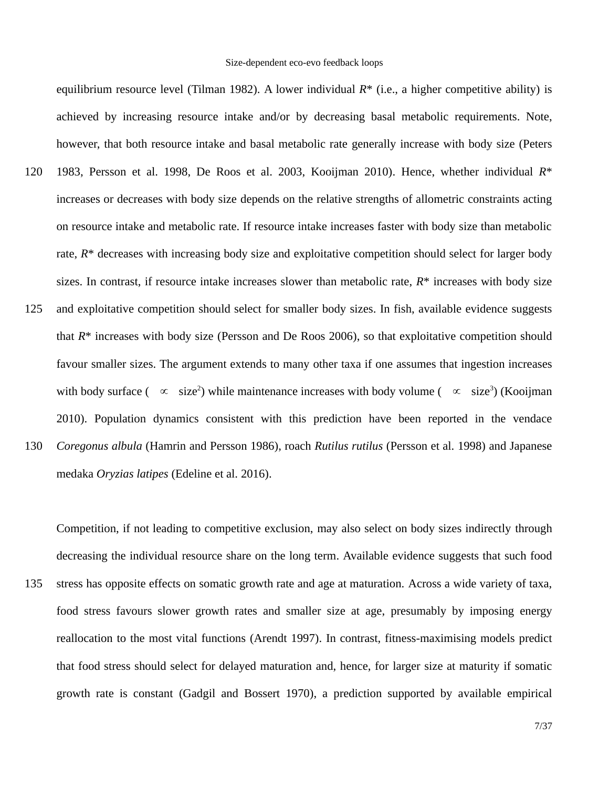equilibrium resource level (Tilman 1982). A lower individual *R*\* (i.e., a higher competitive ability) is achieved by increasing resource intake and/or by decreasing basal metabolic requirements. Note, however, that both resource intake and basal metabolic rate generally increase with body size (Peters 1983, Persson et al. 1998, De Roos et al. 2003, Kooijman 2010). Hence, whether individual *R*\* increases or decreases with body size depends on the relative strengths of allometric constraints acting on resource intake and metabolic rate. If resource intake increases faster with body size than metabolic rate,  $R^*$  decreases with increasing body size and exploitative competition should select for larger body sizes. In contrast, if resource intake increases slower than metabolic rate, *R*\* increases with body size and exploitative competition should select for smaller body sizes. In fish, available evidence suggests that *R*\* increases with body size (Persson and De Roos 2006), so that exploitative competition should favour smaller sizes. The argument extends to many other taxa if one assumes that ingestion increases with body surface (  $\infty$  size<sup>2</sup>) while maintenance increases with body volume (  $\infty$  size<sup>3</sup>) (Kooijman 2010). Population dynamics consistent with this prediction have been reported in the vendace *Coregonus albula* (Hamrin and Persson 1986), roach *Rutilus rutilus* (Persson et al. 1998) and Japanese medaka *Oryzias latipes* (Edeline et al. 2016). 120 125 130

Competition, if not leading to competitive exclusion, may also select on body sizes indirectly through decreasing the individual resource share on the long term. Available evidence suggests that such food stress has opposite effects on somatic growth rate and age at maturation. Across a wide variety of taxa, food stress favours slower growth rates and smaller size at age, presumably by imposing energy reallocation to the most vital functions (Arendt 1997). In contrast, fitness-maximising models predict that food stress should select for delayed maturation and, hence, for larger size at maturity if somatic growth rate is constant (Gadgil and Bossert 1970), a prediction supported by available empirical 135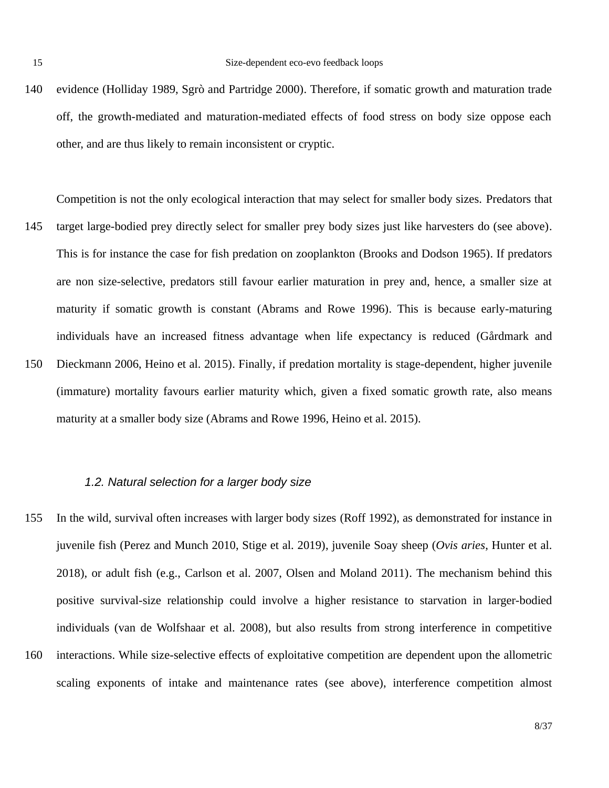evidence (Holliday 1989, Sgrò and Partridge 2000). Therefore, if somatic growth and maturation trade off, the growth-mediated and maturation-mediated effects of food stress on body size oppose each other, and are thus likely to remain inconsistent or cryptic. 140

Competition is not the only ecological interaction that may select for smaller body sizes. Predators that target large-bodied prey directly select for smaller prey body sizes just like harvesters do (see above). This is for instance the case for fish predation on zooplankton (Brooks and Dodson 1965). If predators are non size-selective, predators still favour earlier maturation in prey and, hence, a smaller size at maturity if somatic growth is constant (Abrams and Rowe 1996). This is because early-maturing individuals have an increased fitness advantage when life expectancy is reduced (Gårdmark and Dieckmann 2006, Heino et al. 2015). Finally, if predation mortality is stage-dependent, higher juvenile (immature) mortality favours earlier maturity which, given a fixed somatic growth rate, also means maturity at a smaller body size (Abrams and Rowe 1996, Heino et al. 2015). 145 150

# *1.2. Natural selection for a larger body size*

In the wild, survival often increases with larger body sizes (Roff 1992), as demonstrated for instance in juvenile fish (Perez and Munch 2010, Stige et al. 2019), juvenile Soay sheep (*Ovis aries*, Hunter et al. 2018), or adult fish (e.g., Carlson et al. 2007, Olsen and Moland 2011). The mechanism behind this positive survival-size relationship could involve a higher resistance to starvation in larger-bodied individuals (van de Wolfshaar et al. 2008), but also results from strong interference in competitive interactions. While size-selective effects of exploitative competition are dependent upon the allometric scaling exponents of intake and maintenance rates (see above), interference competition almost 155 160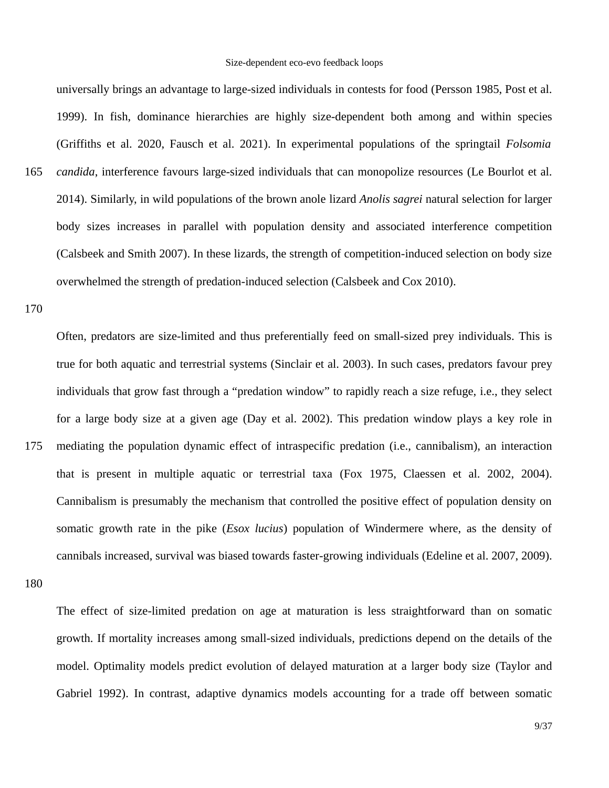universally brings an advantage to large-sized individuals in contests for food (Persson 1985, Post et al. 1999). In fish, dominance hierarchies are highly size-dependent both among and within species (Griffiths et al. 2020, Fausch et al. 2021). In experimental populations of the springtail *Folsomia candida*, interference favours large-sized individuals that can monopolize resources (Le Bourlot et al. 2014). Similarly, in wild populations of the brown anole lizard *Anolis sagrei* natural selection for larger body sizes increases in parallel with population density and associated interference competition (Calsbeek and Smith 2007). In these lizards, the strength of competition-induced selection on body size overwhelmed the strength of predation-induced selection (Calsbeek and Cox 2010).

170

165

Often, predators are size-limited and thus preferentially feed on small-sized prey individuals. This is true for both aquatic and terrestrial systems (Sinclair et al. 2003). In such cases, predators favour prey individuals that grow fast through a "predation window" to rapidly reach a size refuge, i.e., they select for a large body size at a given age (Day et al. 2002). This predation window plays a key role in mediating the population dynamic effect of intraspecific predation (i.e., cannibalism), an interaction that is present in multiple aquatic or terrestrial taxa (Fox 1975, Claessen et al. 2002, 2004). Cannibalism is presumably the mechanism that controlled the positive effect of population density on somatic growth rate in the pike (*Esox lucius*) population of Windermere where, as the density of cannibals increased, survival was biased towards faster-growing individuals (Edeline et al. 2007, 2009). 175

180

The effect of size-limited predation on age at maturation is less straightforward than on somatic growth. If mortality increases among small-sized individuals, predictions depend on the details of the model. Optimality models predict evolution of delayed maturation at a larger body size (Taylor and Gabriel 1992). In contrast, adaptive dynamics models accounting for a trade off between somatic

9/37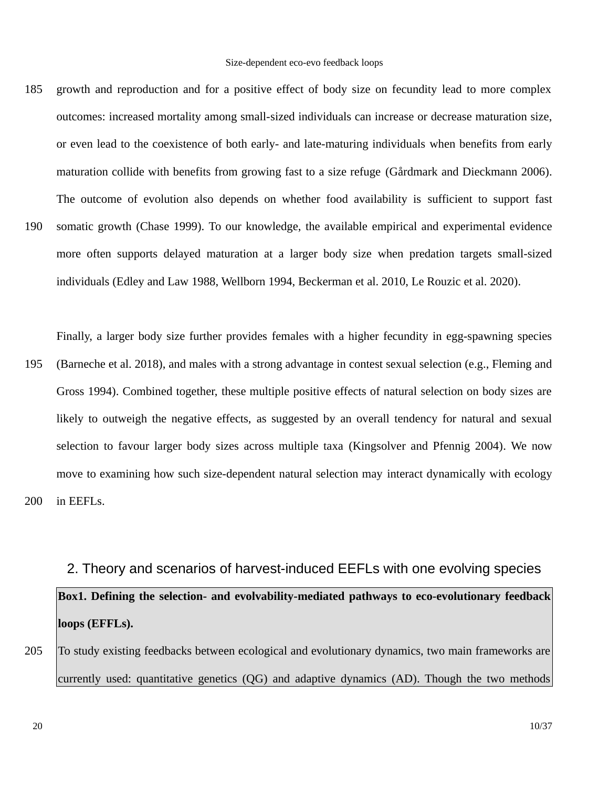growth and reproduction and for a positive effect of body size on fecundity lead to more complex outcomes: increased mortality among small-sized individuals can increase or decrease maturation size, or even lead to the coexistence of both early- and late-maturing individuals when benefits from early maturation collide with benefits from growing fast to a size refuge (Gårdmark and Dieckmann 2006). The outcome of evolution also depends on whether food availability is sufficient to support fast somatic growth (Chase 1999). To our knowledge, the available empirical and experimental evidence more often supports delayed maturation at a larger body size when predation targets small-sized individuals (Edley and Law 1988, Wellborn 1994, Beckerman et al. 2010, Le Rouzic et al. 2020). 185 190

Finally, a larger body size further provides females with a higher fecundity in egg-spawning species

(Barneche et al. 2018), and males with a strong advantage in contest sexual selection (e.g., Fleming and Gross 1994). Combined together, these multiple positive effects of natural selection on body sizes are likely to outweigh the negative effects, as suggested by an overall tendency for natural and sexual selection to favour larger body sizes across multiple taxa (Kingsolver and Pfennig 2004). We now move to examining how such size-dependent natural selection may interact dynamically with ecology in EEFLs. 195 200

# 2. Theory and scenarios of harvest-induced EEFLs with one evolving species **Box1. Defining the selection- and evolvability-mediated pathways to eco-evolutionary feedback loops (EFFLs).**

To study existing feedbacks between ecological and evolutionary dynamics, two main frameworks are currently used: quantitative genetics (QG) and adaptive dynamics (AD). Though the two methods 205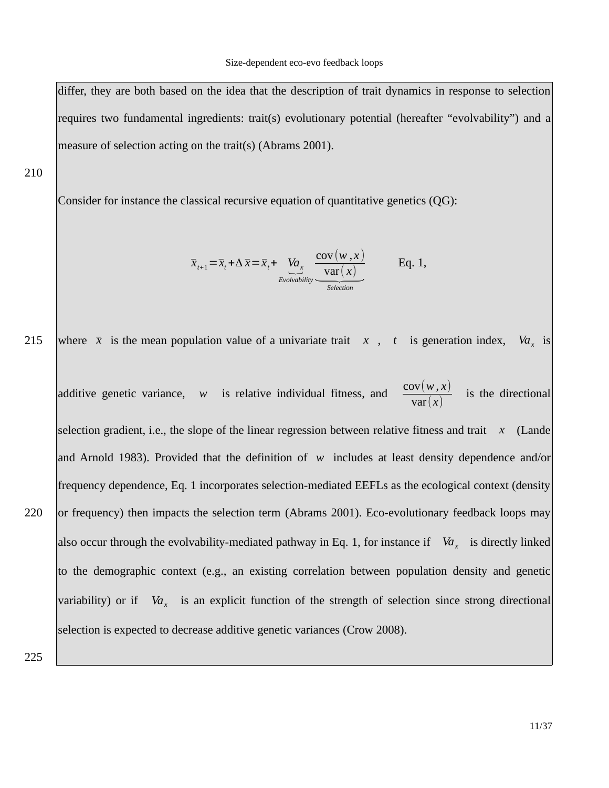differ, they are both based on the idea that the description of trait dynamics in response to selection requires two fundamental ingredients: trait(s) evolutionary potential (hereafter "evolvability") and a measure of selection acting on the trait(s) (Abrams 2001).

210

Consider for instance the classical recursive equation of quantitative genetics (QG):

$$
\overline{x}_{t+1} = \overline{x}_t + \Delta \overline{x} = \overline{x}_t + \underbrace{Va_x}_{\text{Evolvability}} \underbrace{\frac{\text{cov}(w, x)}{\text{var}(x)}}_{\text{Selection}} \qquad \text{Eq. 1,}
$$

where  $\bar{x}$  is the mean population value of a univariate trait  $\bar{x}$ ,  $\bar{t}$  is generation index,  $Va_{y}$  is 215

additive genetic variance, *w* is relative individual fitness, and  $\frac{\text{cov}(w, x)}{\langle x, y \rangle}$ var(*x*) is the directional selection gradient, i.e., the slope of the linear regression between relative fitness and trait *x* (Lande and Arnold 1983). Provided that the definition of *w* includes at least density dependence and/or frequency dependence, Eq. 1 incorporates selection-mediated EEFLs as the ecological context (density or frequency) then impacts the selection term (Abrams 2001). Eco-evolutionary feedback loops may also occur through the evolvability-mediated pathway in Eq. 1, for instance if *Va<sup>x</sup>* is directly linked to the demographic context (e.g., an existing correlation between population density and genetic variability) or if *Va<sub>x</sub>* is an explicit function of the strength of selection since strong directional selection is expected to decrease additive genetic variances (Crow 2008). 220

225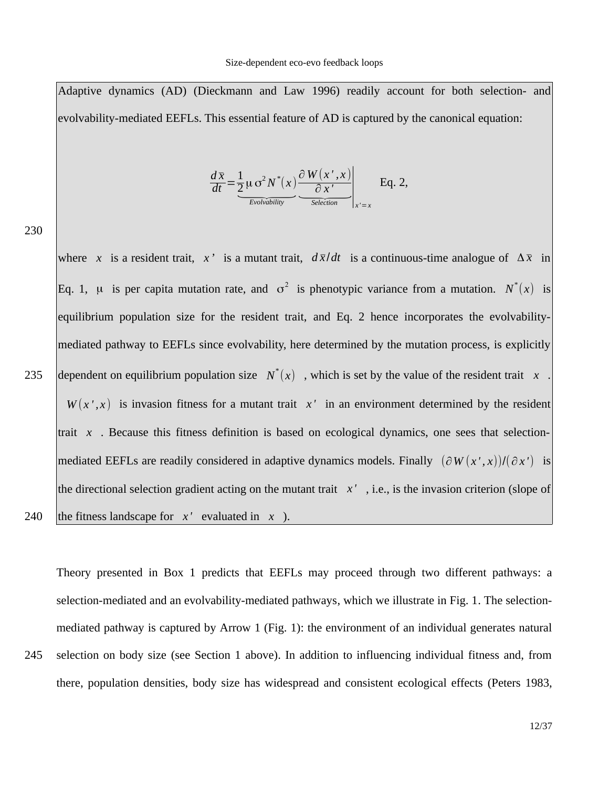Adaptive dynamics (AD) (Dieckmann and Law 1996) readily account for both selection- and evolvability-mediated EEFLs. This essential feature of AD is captured by the canonical equation:

$$
\frac{d\overline{x}}{dt} = \underbrace{\frac{1}{2}\mu \sigma^2 N^*(x)}_{\text{Evolvability}} \underbrace{\frac{\partial W(x',x)}{\partial x'}}_{\text{Selection}}\bigg|_{x'=x} \quad \text{Eq. 2,}
$$

230

where *x* is a resident trait, *x*<sup>*'*</sup> is a mutant trait,  $d\bar{x}/dt$  is a continuous-time analogue of  $\Delta \bar{x}$  in Eq. 1,  $\mu$  is per capita mutation rate, and  $\sigma^2$  is phenotypic variance from a mutation.  $N^*(x)$  is equilibrium population size for the resident trait, and Eq. 2 hence incorporates the evolvabilitymediated pathway to EEFLs since evolvability, here determined by the mutation process, is explicitly dependent on equilibrium population size *N* \* (*x*) , which is set by the value of the resident trait *x* .  $W(x',x)$  is invasion fitness for a mutant trait  $x'$  in an environment determined by the resident trait *x* . Because this fitness definition is based on ecological dynamics, one sees that selection- $\vert$ mediated EEFLs are readily considered in adaptive dynamics models. Finally  $\vert (\partial W(x',x))/(\partial x') \vert$  is $\vert$ the directional selection gradient acting on the mutant trait  $x'$ , i.e., is the invasion criterion (slope of the fitness landscape for  $x'$  evaluated in  $x$  ). 235 240

Theory presented in Box 1 predicts that EEFLs may proceed through two different pathways: a selection-mediated and an evolvability-mediated pathways, which we illustrate in Fig. 1. The selectionmediated pathway is captured by Arrow 1 (Fig. 1): the environment of an individual generates natural selection on body size (see Section 1 above). In addition to influencing individual fitness and, from there, population densities, body size has widespread and consistent ecological effects (Peters 1983, 245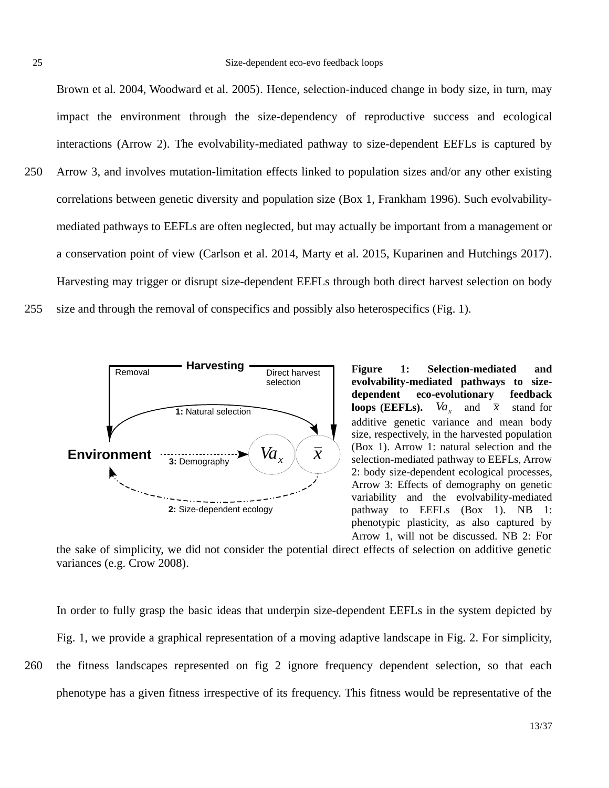Brown et al. 2004, Woodward et al. 2005). Hence, selection-induced change in body size, in turn, may impact the environment through the size-dependency of reproductive success and ecological interactions (Arrow 2). The evolvability-mediated pathway to size-dependent EEFLs is captured by Arrow 3, and involves mutation-limitation effects linked to population sizes and/or any other existing correlations between genetic diversity and population size (Box 1, Frankham 1996). Such evolvabilitymediated pathways to EEFLs are often neglected, but may actually be important from a management or a conservation point of view (Carlson et al. 2014, Marty et al. 2015, Kuparinen and Hutchings 2017). 250

Harvesting may trigger or disrupt size-dependent EEFLs through both direct harvest selection on body size and through the removal of conspecifics and possibly also heterospecifics (Fig. 1). 255



**Figure 1: Selection-mediated and evolvability-mediated pathways to sizedependent eco-evolutionary feedback loops (EEFLs).**  $Va_{y}$  and  $\bar{x}$  stand for additive genetic variance and mean body size, respectively, in the harvested population (Box 1). Arrow 1: natural selection and the selection-mediated pathway to EEFLs, Arrow 2: body size-dependent ecological processes, Arrow 3: Effects of demography on genetic variability and the evolvability-mediated pathway to EEFLs (Box 1). NB 1: phenotypic plasticity, as also captured by Arrow 1, will not be discussed. NB 2: For

the sake of simplicity, we did not consider the potential direct effects of selection on additive genetic variances (e.g. Crow 2008).

In order to fully grasp the basic ideas that underpin size-dependent EEFLs in the system depicted by Fig. 1, we provide a graphical representation of a moving adaptive landscape in Fig. 2. For simplicity, the fitness landscapes represented on fig 2 ignore frequency dependent selection, so that each phenotype has a given fitness irrespective of its frequency. This fitness would be representative of the

260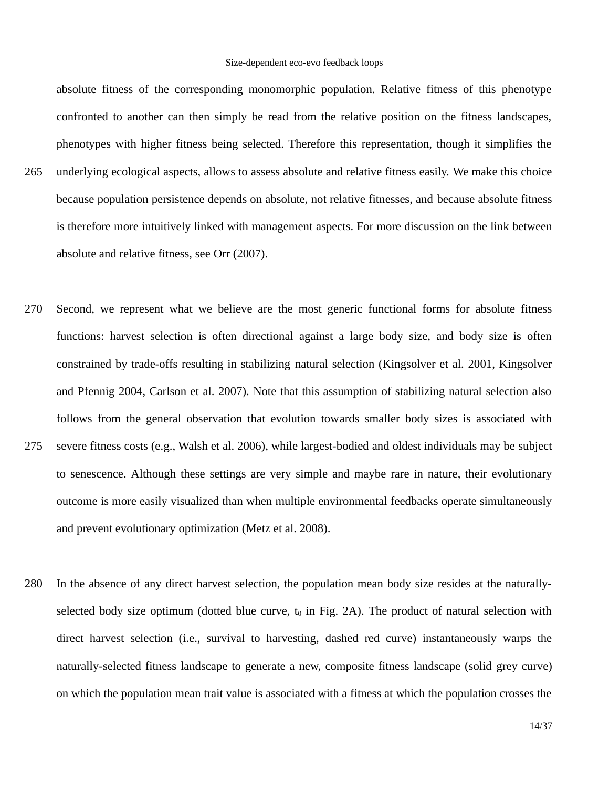#### Size-dependent eco-evo feedback loops

absolute fitness of the corresponding monomorphic population. Relative fitness of this phenotype confronted to another can then simply be read from the relative position on the fitness landscapes, phenotypes with higher fitness being selected. Therefore this representation, though it simplifies the underlying ecological aspects, allows to assess absolute and relative fitness easily. We make this choice because population persistence depends on absolute, not relative fitnesses, and because absolute fitness is therefore more intuitively linked with management aspects. For more discussion on the link between absolute and relative fitness, see Orr (2007). 265

- Second, we represent what we believe are the most generic functional forms for absolute fitness functions: harvest selection is often directional against a large body size, and body size is often constrained by trade-offs resulting in stabilizing natural selection (Kingsolver et al. 2001, Kingsolver and Pfennig 2004, Carlson et al. 2007). Note that this assumption of stabilizing natural selection also follows from the general observation that evolution towards smaller body sizes is associated with severe fitness costs (e.g., Walsh et al. 2006), while largest-bodied and oldest individuals may be subject to senescence. Although these settings are very simple and maybe rare in nature, their evolutionary outcome is more easily visualized than when multiple environmental feedbacks operate simultaneously and prevent evolutionary optimization (Metz et al. 2008). 270 275
- In the absence of any direct harvest selection, the population mean body size resides at the naturallyselected body size optimum (dotted blue curve,  $t_0$  in Fig. 2A). The product of natural selection with direct harvest selection (i.e., survival to harvesting, dashed red curve) instantaneously warps the naturally-selected fitness landscape to generate a new, composite fitness landscape (solid grey curve) on which the population mean trait value is associated with a fitness at which the population crosses the 280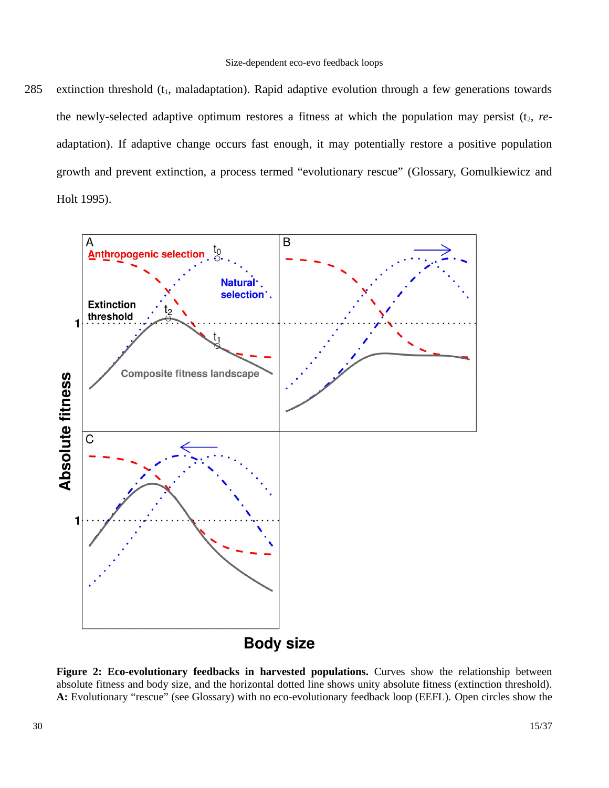extinction threshold  $(t_1, m$ aladaptation). Rapid adaptive evolution through a few generations towards the newly-selected adaptive optimum restores a fitness at which the population may persist  $(t_2, re$ adaptation). If adaptive change occurs fast enough, it may potentially restore a positive population growth and prevent extinction, a process termed "evolutionary rescue" (Glossary, Gomulkiewicz and Holt 1995). 285



**Figure 2: Eco-evolutionary feedbacks in harvested populations.** Curves show the relationship between absolute fitness and body size, and the horizontal dotted line shows unity absolute fitness (extinction threshold). **A:** Evolutionary "rescue" (see Glossary) with no eco-evolutionary feedback loop (EEFL). Open circles show the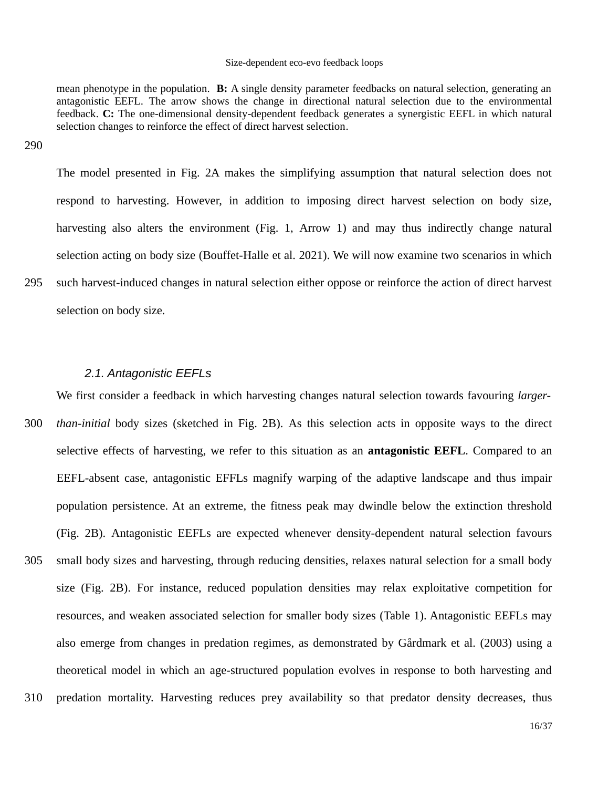#### Size-dependent eco-evo feedback loops

mean phenotype in the population. **B:** A single density parameter feedbacks on natural selection, generating an antagonistic EEFL. The arrow shows the change in directional natural selection due to the environmental feedback. **C:** The one-dimensional density-dependent feedback generates a synergistic EEFL in which natural selection changes to reinforce the effect of direct harvest selection.

290

295

The model presented in Fig. 2A makes the simplifying assumption that natural selection does not respond to harvesting. However, in addition to imposing direct harvest selection on body size, harvesting also alters the environment (Fig. 1, Arrow 1) and may thus indirectly change natural selection acting on body size (Bouffet-Halle et al. 2021). We will now examine two scenarios in which such harvest-induced changes in natural selection either oppose or reinforce the action of direct harvest selection on body size.

#### *2.1. Antagonistic EEFLs*

We first consider a feedback in which harvesting changes natural selection towards favouring *largerthan-initial* body sizes (sketched in Fig. 2B). As this selection acts in opposite ways to the direct selective effects of harvesting, we refer to this situation as an **antagonistic EEFL**. Compared to an EEFL-absent case, antagonistic EFFLs magnify warping of the adaptive landscape and thus impair population persistence. At an extreme, the fitness peak may dwindle below the extinction threshold (Fig. 2B). Antagonistic EEFLs are expected whenever density-dependent natural selection favours small body sizes and harvesting, through reducing densities, relaxes natural selection for a small body size (Fig. 2B). For instance, reduced population densities may relax exploitative competition for resources, and weaken associated selection for smaller body sizes (Table 1). Antagonistic EEFLs may also emerge from changes in predation regimes, as demonstrated by Gårdmark et al. (2003) using a theoretical model in which an age-structured population evolves in response to both harvesting and predation mortality. Harvesting reduces prey availability so that predator density decreases, thus 300 305 310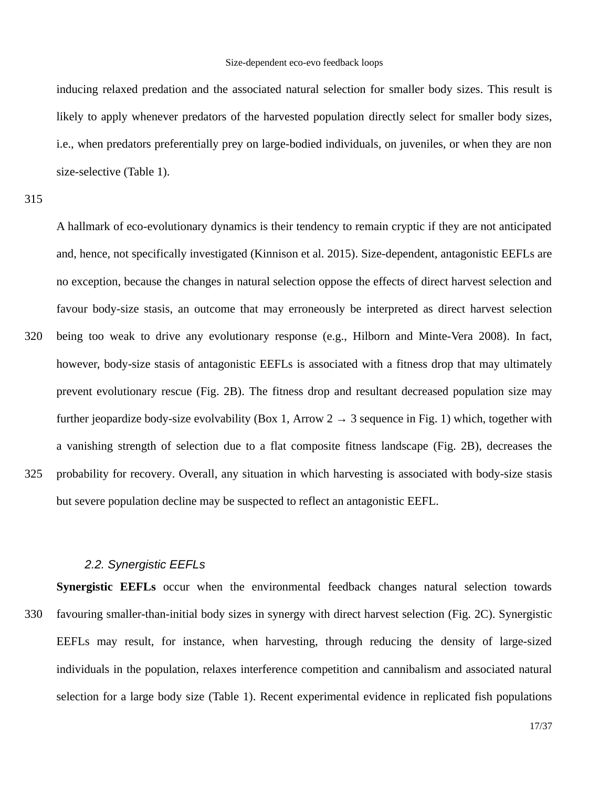inducing relaxed predation and the associated natural selection for smaller body sizes. This result is likely to apply whenever predators of the harvested population directly select for smaller body sizes, i.e., when predators preferentially prey on large-bodied individuals, on juveniles, or when they are non size-selective (Table 1).

A hallmark of eco-evolutionary dynamics is their tendency to remain cryptic if they are not anticipated and, hence, not specifically investigated (Kinnison et al. 2015). Size-dependent, antagonistic EEFLs are no exception, because the changes in natural selection oppose the effects of direct harvest selection and favour body-size stasis, an outcome that may erroneously be interpreted as direct harvest selection being too weak to drive any evolutionary response (e.g., Hilborn and Minte-Vera 2008). In fact, however, body-size stasis of antagonistic EEFLs is associated with a fitness drop that may ultimately prevent evolutionary rescue (Fig. 2B). The fitness drop and resultant decreased population size may further jeopardize body-size evolvability (Box 1, Arrow 2  $\rightarrow$  3 sequence in Fig. 1) which, together with a vanishing strength of selection due to a flat composite fitness landscape (Fig. 2B), decreases the probability for recovery. Overall, any situation in which harvesting is associated with body-size stasis but severe population decline may be suspected to reflect an antagonistic EEFL. 320 325

#### *2.2. Synergistic EEFLs*

330

**Synergistic EEFLs** occur when the environmental feedback changes natural selection towards favouring smaller-than-initial body sizes in synergy with direct harvest selection (Fig. 2C). Synergistic EEFLs may result, for instance, when harvesting, through reducing the density of large-sized individuals in the population, relaxes interference competition and cannibalism and associated natural selection for a large body size (Table 1). Recent experimental evidence in replicated fish populations

<sup>315</sup>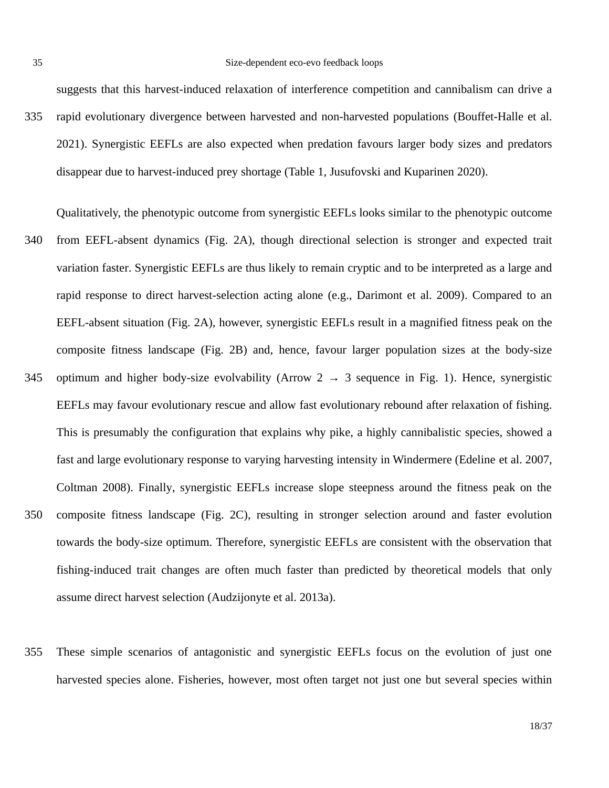suggests that this harvest-induced relaxation of interference competition and cannibalism can drive a rapid evolutionary divergence between harvested and non-harvested populations (Bouffet-Halle et al. 2021). Synergistic EEFLs are also expected when predation favours larger body sizes and predators disappear due to harvest-induced prey shortage (Table 1, Jusufovski and Kuparinen 2020). 335

Qualitatively, the phenotypic outcome from synergistic EEFLs looks similar to the phenotypic outcome from EEFL-absent dynamics (Fig. 2A), though directional selection is stronger and expected trait variation faster. Synergistic EEFLs are thus likely to remain cryptic and to be interpreted as a large and rapid response to direct harvest-selection acting alone (e.g., Darimont et al. 2009). Compared to an EEFL-absent situation (Fig. 2A), however, synergistic EEFLs result in a magnified fitness peak on the composite fitness landscape (Fig. 2B) and, hence, favour larger population sizes at the body-size optimum and higher body-size evolvability (Arrow 2  $\rightarrow$  3 sequence in Fig. 1). Hence, synergistic EEFLs may favour evolutionary rescue and allow fast evolutionary rebound after relaxation of fishing. This is presumably the configuration that explains why pike, a highly cannibalistic species, showed a fast and large evolutionary response to varying harvesting intensity in Windermere (Edeline et al. 2007, Coltman 2008). Finally, synergistic EEFLs increase slope steepness around the fitness peak on the composite fitness landscape (Fig. 2C), resulting in stronger selection around and faster evolution towards the body-size optimum. Therefore, synergistic EEFLs are consistent with the observation that fishing-induced trait changes are often much faster than predicted by theoretical models that only assume direct harvest selection (Audzijonyte et al. 2013a). 340 345 350

These simple scenarios of antagonistic and synergistic EEFLs focus on the evolution of just one harvested species alone. Fisheries, however, most often target not just one but several species within 355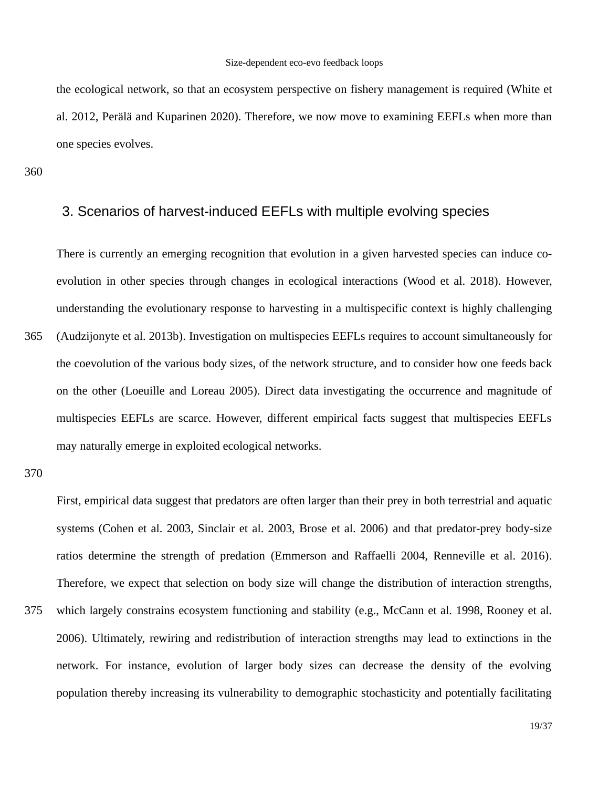#### Size-dependent eco-evo feedback loops

the ecological network, so that an ecosystem perspective on fishery management is required (White et al. 2012, Perälä and Kuparinen 2020). Therefore, we now move to examining EEFLs when more than one species evolves.

360

# 3. Scenarios of harvest-induced EEFLs with multiple evolving species

There is currently an emerging recognition that evolution in a given harvested species can induce coevolution in other species through changes in ecological interactions (Wood et al. 2018). However, understanding the evolutionary response to harvesting in a multispecific context is highly challenging (Audzijonyte et al. 2013b). Investigation on multispecies EEFLs requires to account simultaneously for the coevolution of the various body sizes, of the network structure, and to consider how one feeds back on the other (Loeuille and Loreau 2005). Direct data investigating the occurrence and magnitude of multispecies EEFLs are scarce. However, different empirical facts suggest that multispecies EEFLs may naturally emerge in exploited ecological networks. 365

370

First, empirical data suggest that predators are often larger than their prey in both terrestrial and aquatic systems (Cohen et al. 2003, Sinclair et al. 2003, Brose et al. 2006) and that predator-prey body-size ratios determine the strength of predation (Emmerson and Raffaelli 2004, Renneville et al. 2016). Therefore, we expect that selection on body size will change the distribution of interaction strengths, which largely constrains ecosystem functioning and stability (e.g., McCann et al. 1998, Rooney et al. 2006). Ultimately, rewiring and redistribution of interaction strengths may lead to extinctions in the network. For instance, evolution of larger body sizes can decrease the density of the evolving population thereby increasing its vulnerability to demographic stochasticity and potentially facilitating 375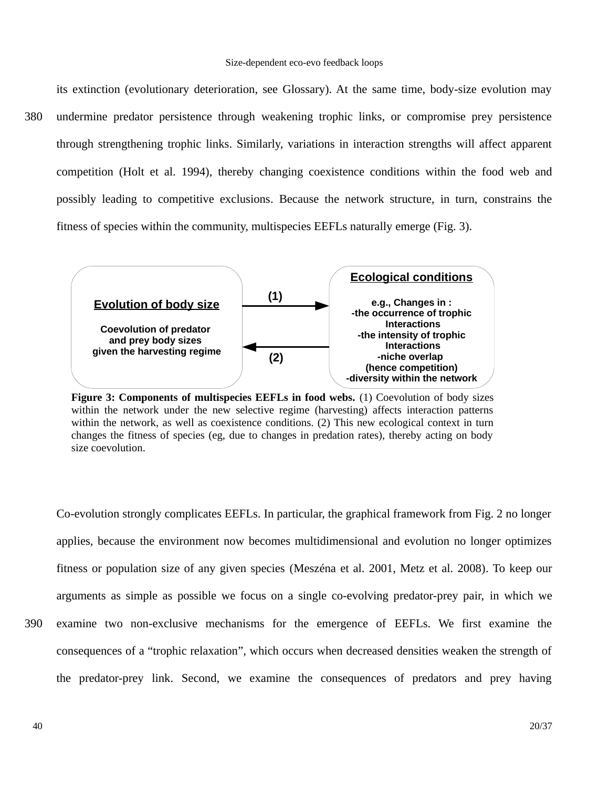its extinction (evolutionary deterioration, see Glossary). At the same time, body-size evolution may undermine predator persistence through weakening trophic links, or compromise prey persistence through strengthening trophic links. Similarly, variations in interaction strengths will affect apparent competition (Holt et al. 1994), thereby changing coexistence conditions within the food web and possibly leading to competitive exclusions. Because the network structure, in turn, constrains the fitness of species within the community, multispecies EEFLs naturally emerge (Fig. 3). 380



**Figure 3: Components of multispecies EEFLs in food webs.** (1) Coevolution of body sizes within the network under the new selective regime (harvesting) affects interaction patterns within the network, as well as coexistence conditions. (2) This new ecological context in turn changes the fitness of species (eg, due to changes in predation rates), thereby acting on body size coevolution.

Co-evolution strongly complicates EEFLs. In particular, the graphical framework from Fig. 2 no longer applies, because the environment now becomes multidimensional and evolution no longer optimizes fitness or population size of any given species (Meszéna et al. 2001, Metz et al. 2008). To keep our arguments as simple as possible we focus on a single co-evolving predator-prey pair, in which we

examine two non-exclusive mechanisms for the emergence of EEFLs. We first examine the consequences of a "trophic relaxation", which occurs when decreased densities weaken the strength of the predator-prey link. Second, we examine the consequences of predators and prey having 390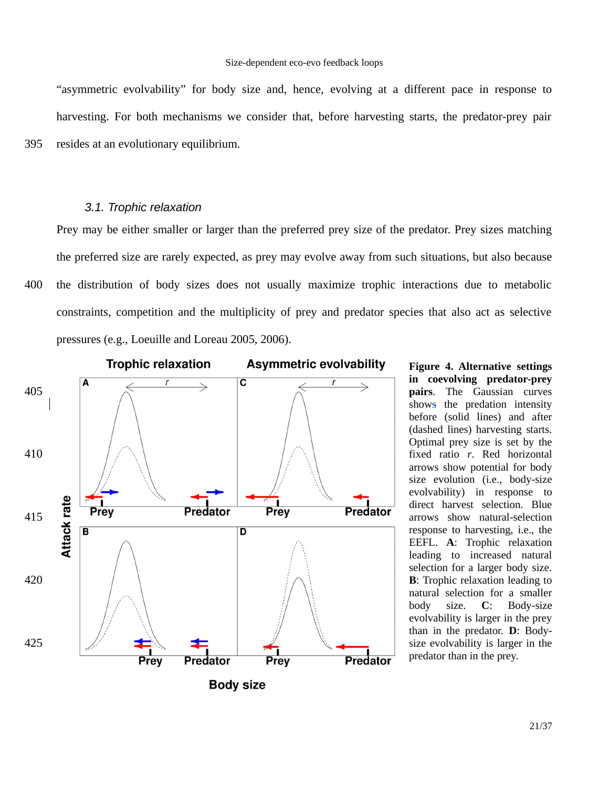"asymmetric evolvability" for body size and, hence, evolving at a different pace in response to harvesting. For both mechanisms we consider that, before harvesting starts, the predator-prey pair resides at an evolutionary equilibrium. 395

#### *3.1. Trophic relaxation*

Prey may be either smaller or larger than the preferred prey size of the predator. Prey sizes matching the preferred size are rarely expected, as prey may evolve away from such situations, but also because the distribution of body sizes does not usually maximize trophic interactions due to metabolic constraints, competition and the multiplicity of prey and predator species that also act as selective pressures (e.g., Loeuille and Loreau 2005, 2006). 400



**Figure 4. Alternative settings in coevolving predator-prey pairs**. The Gaussian curves shows the predation intensity before (solid lines) and after (dashed lines) harvesting starts. Optimal prey size is set by the fixed ratio *r*. Red horizontal arrows show potential for body size evolution (i.e., body-size evolvability) in response to direct harvest selection. Blue arrows show natural-selection response to harvesting, i.e., the EEFL. **A**: Trophic relaxation leading to increased natural selection for a larger body size. **B**: Trophic relaxation leading to natural selection for a smaller body size. **C**: Body-size evolvability is larger in the prey than in the predator. **D**: Bodysize evolvability is larger in the predator than in the prey.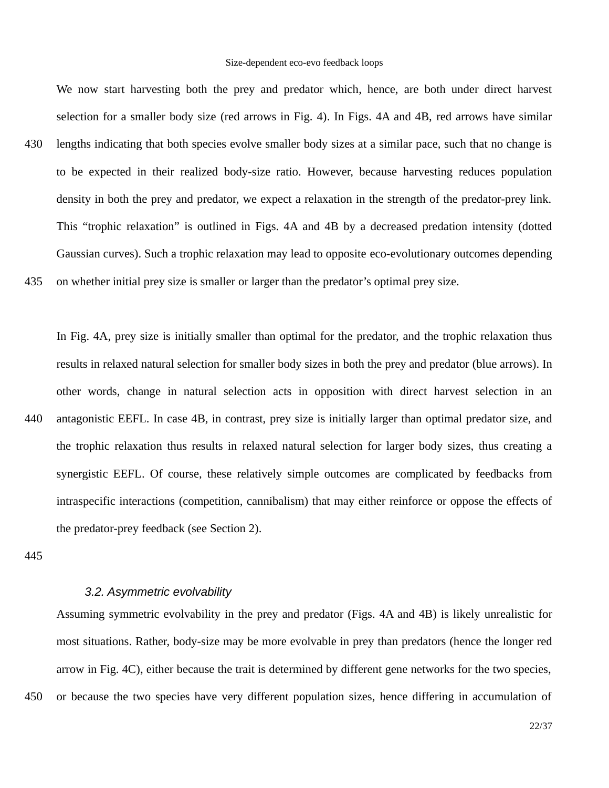We now start harvesting both the prey and predator which, hence, are both under direct harvest selection for a smaller body size (red arrows in Fig. 4). In Figs. 4A and 4B, red arrows have similar lengths indicating that both species evolve smaller body sizes at a similar pace, such that no change is to be expected in their realized body-size ratio. However, because harvesting reduces population density in both the prey and predator, we expect a relaxation in the strength of the predator-prey link. This "trophic relaxation" is outlined in Figs. 4A and 4B by a decreased predation intensity (dotted Gaussian curves). Such a trophic relaxation may lead to opposite eco-evolutionary outcomes depending on whether initial prey size is smaller or larger than the predator's optimal prey size. 430 435

In Fig. 4A, prey size is initially smaller than optimal for the predator, and the trophic relaxation thus results in relaxed natural selection for smaller body sizes in both the prey and predator (blue arrows). In other words, change in natural selection acts in opposition with direct harvest selection in an antagonistic EEFL. In case 4B, in contrast, prey size is initially larger than optimal predator size, and the trophic relaxation thus results in relaxed natural selection for larger body sizes, thus creating a synergistic EEFL. Of course, these relatively simple outcomes are complicated by feedbacks from intraspecific interactions (competition, cannibalism) that may either reinforce or oppose the effects of the predator-prey feedback (see Section 2). 440

445

450

# *3.2. Asymmetric evolvability*

Assuming symmetric evolvability in the prey and predator (Figs. 4A and 4B) is likely unrealistic for most situations. Rather, body-size may be more evolvable in prey than predators (hence the longer red arrow in Fig. 4C), either because the trait is determined by different gene networks for the two species, or because the two species have very different population sizes, hence differing in accumulation of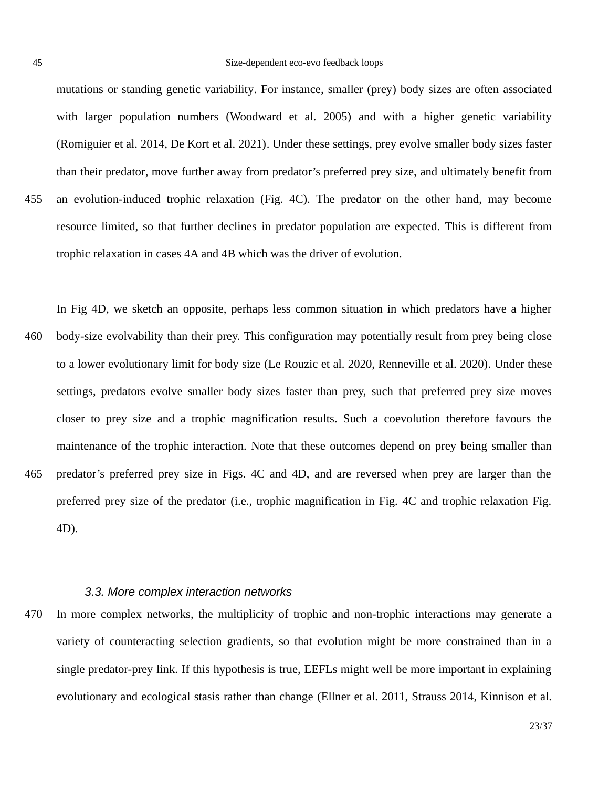mutations or standing genetic variability. For instance, smaller (prey) body sizes are often associated with larger population numbers (Woodward et al. 2005) and with a higher genetic variability (Romiguier et al. 2014, De Kort et al. 2021). Under these settings, prey evolve smaller body sizes faster than their predator, move further away from predator's preferred prey size, and ultimately benefit from an evolution-induced trophic relaxation (Fig. 4C). The predator on the other hand, may become resource limited, so that further declines in predator population are expected. This is different from trophic relaxation in cases 4A and 4B which was the driver of evolution. 455

In Fig 4D, we sketch an opposite, perhaps less common situation in which predators have a higher body-size evolvability than their prey. This configuration may potentially result from prey being close to a lower evolutionary limit for body size (Le Rouzic et al. 2020, Renneville et al. 2020). Under these settings, predators evolve smaller body sizes faster than prey, such that preferred prey size moves closer to prey size and a trophic magnification results. Such a coevolution therefore favours the maintenance of the trophic interaction. Note that these outcomes depend on prey being smaller than predator's preferred prey size in Figs. 4C and 4D, and are reversed when prey are larger than the preferred prey size of the predator (i.e., trophic magnification in Fig. 4C and trophic relaxation Fig. 4D). 460 465

### *3.3. More complex interaction networks*

In more complex networks, the multiplicity of trophic and non-trophic interactions may generate a variety of counteracting selection gradients, so that evolution might be more constrained than in a single predator-prey link. If this hypothesis is true, EEFLs might well be more important in explaining evolutionary and ecological stasis rather than change (Ellner et al. 2011, Strauss 2014, Kinnison et al. 470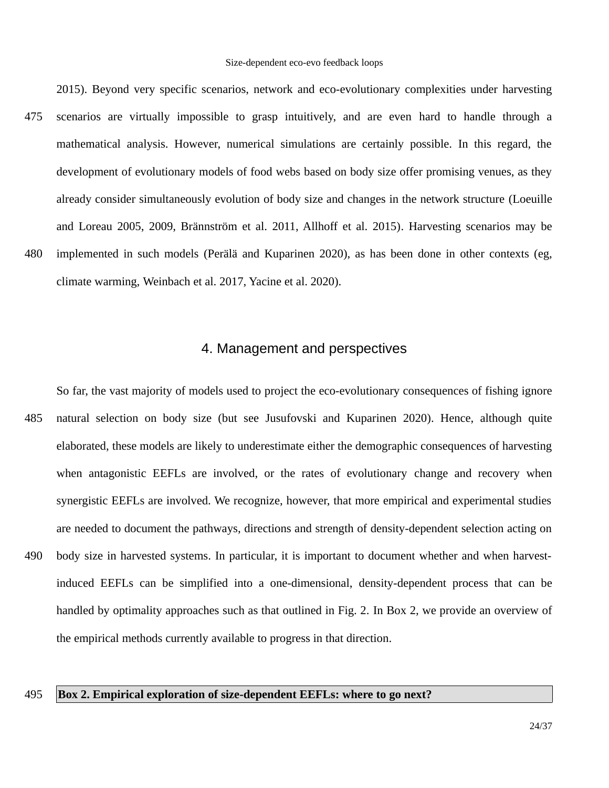2015). Beyond very specific scenarios, network and eco-evolutionary complexities under harvesting scenarios are virtually impossible to grasp intuitively, and are even hard to handle through a mathematical analysis. However, numerical simulations are certainly possible. In this regard, the development of evolutionary models of food webs based on body size offer promising venues, as they already consider simultaneously evolution of body size and changes in the network structure (Loeuille and Loreau 2005, 2009, Brännström et al. 2011, Allhoff et al. 2015). Harvesting scenarios may be implemented in such models (Perälä and Kuparinen 2020), as has been done in other contexts (eg, climate warming, Weinbach et al. 2017, Yacine et al. 2020). 475 480

# 4. Management and perspectives

So far, the vast majority of models used to project the eco-evolutionary consequences of fishing ignore natural selection on body size (but see Jusufovski and Kuparinen 2020). Hence, although quite elaborated, these models are likely to underestimate either the demographic consequences of harvesting when antagonistic EEFLs are involved, or the rates of evolutionary change and recovery when synergistic EEFLs are involved. We recognize, however, that more empirical and experimental studies are needed to document the pathways, directions and strength of density-dependent selection acting on body size in harvested systems. In particular, it is important to document whether and when harvestinduced EEFLs can be simplified into a one-dimensional, density-dependent process that can be handled by optimality approaches such as that outlined in Fig. 2. In Box 2, we provide an overview of the empirical methods currently available to progress in that direction. 485 490

#### **Box 2. Empirical exploration of size-dependent EEFLs: where to go next?** 495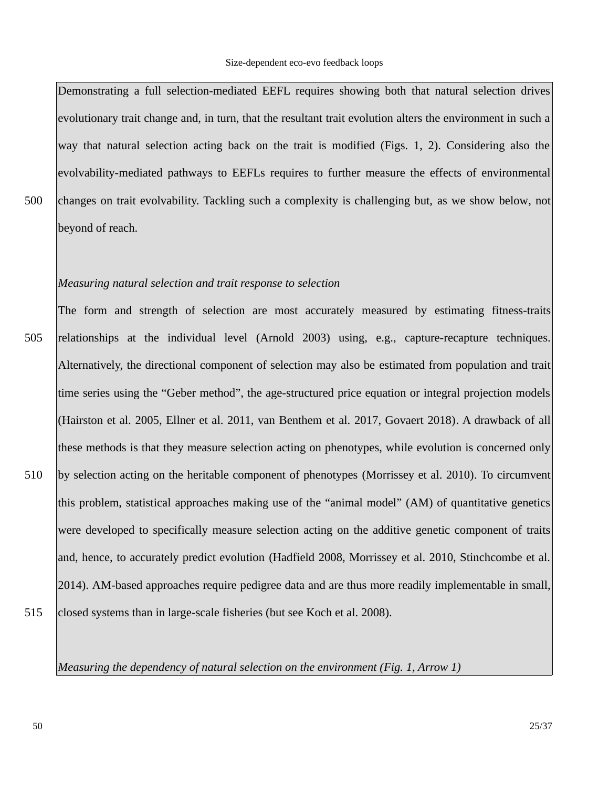Demonstrating a full selection-mediated EEFL requires showing both that natural selection drives evolutionary trait change and, in turn, that the resultant trait evolution alters the environment in such a way that natural selection acting back on the trait is modified (Figs. 1, 2). Considering also the evolvability-mediated pathways to EEFLs requires to further measure the effects of environmental changes on trait evolvability. Tackling such a complexity is challenging but, as we show below, not beyond of reach.

#### *Measuring natural selection and trait response to selection*

The form and strength of selection are most accurately measured by estimating fitness-traits relationships at the individual level (Arnold 2003) using, e.g., capture-recapture techniques. Alternatively, the directional component of selection may also be estimated from population and trait time series using the "Geber method", the age-structured price equation or integral projection models (Hairston et al. 2005, Ellner et al. 2011, van Benthem et al. 2017, Govaert 2018). A drawback of all these methods is that they measure selection acting on phenotypes, while evolution is concerned only by selection acting on the heritable component of phenotypes (Morrissey et al. 2010). To circumvent this problem, statistical approaches making use of the "animal model" (AM) of quantitative genetics were developed to specifically measure selection acting on the additive genetic component of traits and, hence, to accurately predict evolution (Hadfield 2008, Morrissey et al. 2010, Stinchcombe et al. 2014). AM-based approaches require pedigree data and are thus more readily implementable in small, closed systems than in large-scale fisheries (but see Koch et al. 2008). 505 510 515

500

*Measuring the dependency of natural selection on the environment (Fig. 1, Arrow 1)*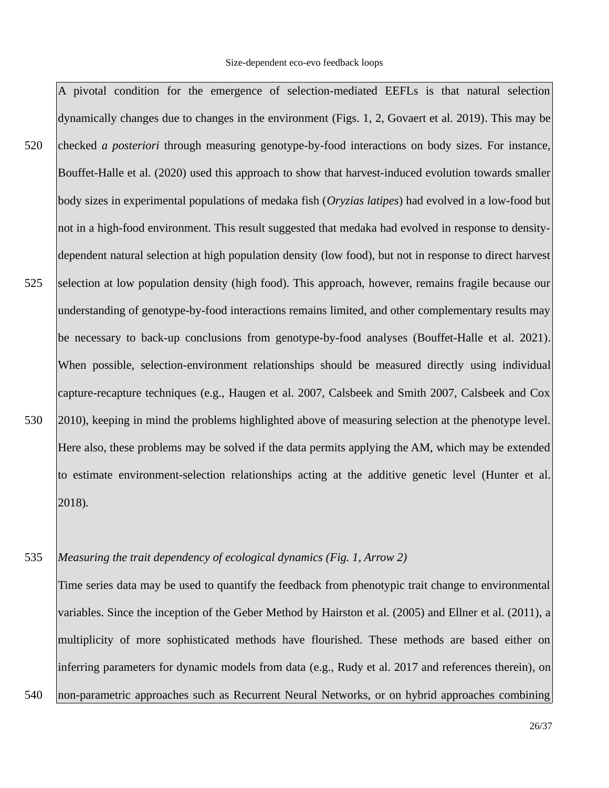A pivotal condition for the emergence of selection-mediated EEFLs is that natural selection dynamically changes due to changes in the environment (Figs. 1, 2, Govaert et al. 2019). This may be checked *a posteriori* through measuring genotype-by-food interactions on body sizes. For instance, Bouffet-Halle et al. (2020) used this approach to show that harvest-induced evolution towards smaller body sizes in experimental populations of medaka fish (*Oryzias latipes*) had evolved in a low-food but not in a high-food environment. This result suggested that medaka had evolved in response to densitydependent natural selection at high population density (low food), but not in response to direct harvest selection at low population density (high food). This approach, however, remains fragile because our understanding of genotype-by-food interactions remains limited, and other complementary results may be necessary to back-up conclusions from genotype-by-food analyses (Bouffet-Halle et al. 2021). When possible, selection-environment relationships should be measured directly using individual capture-recapture techniques (e.g., Haugen et al. 2007, Calsbeek and Smith 2007, Calsbeek and Cox 2010), keeping in mind the problems highlighted above of measuring selection at the phenotype level. Here also, these problems may be solved if the data permits applying the AM, which may be extended to estimate environment-selection relationships acting at the additive genetic level (Hunter et al. 2018)*.* 520 525 530

#### *Measuring the trait dependency of ecological dynamics (Fig. 1, Arrow 2)* 535

540

Time series data may be used to quantify the feedback from phenotypic trait change to environmental variables. Since the inception of the Geber Method by Hairston et al. (2005) and Ellner et al. (2011), a multiplicity of more sophisticated methods have flourished. These methods are based either on inferring parameters for dynamic models from data (e.g., Rudy et al. 2017 and references therein), on non-parametric approaches such as Recurrent Neural Networks, or on hybrid approaches combining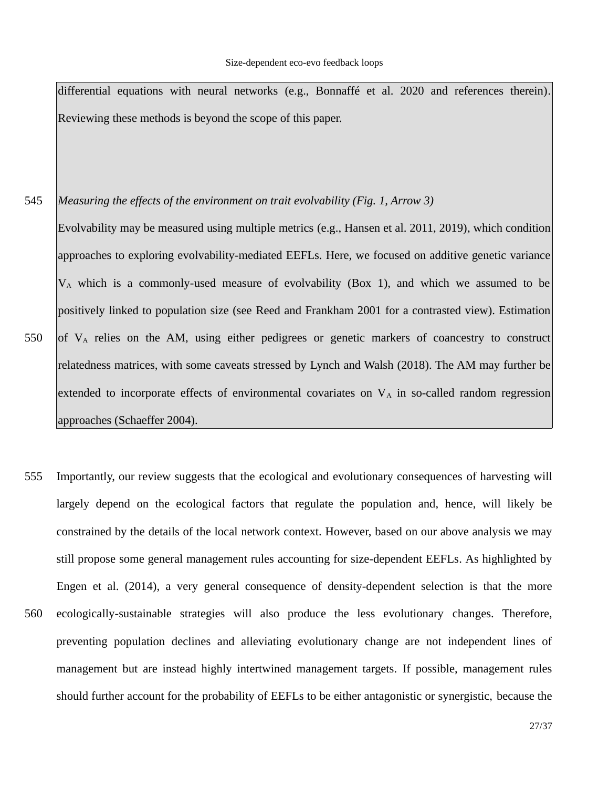differential equations with neural networks (e.g., Bonnaffé et al. 2020 and references therein). Reviewing these methods is beyond the scope of this paper.

- *Measuring the effects of the environment on trait evolvability (Fig. 1, Arrow 3)* Evolvability may be measured using multiple metrics (e.g., Hansen et al. 2011, 2019), which condition approaches to exploring evolvability-mediated EEFLs. Here, we focused on additive genetic variance  $V_A$  which is a commonly-used measure of evolvability (Box 1), and which we assumed to be positively linked to population size (see Reed and Frankham 2001 for a contrasted view). Estimation of  $V_A$  relies on the AM, using either pedigrees or genetic markers of coancestry to construct relatedness matrices, with some caveats stressed by Lynch and Walsh (2018). The AM may further be extended to incorporate effects of environmental covariates on  $V_A$  in so-called random regression approaches (Schaeffer 2004). 545 550
- Importantly, our review suggests that the ecological and evolutionary consequences of harvesting will largely depend on the ecological factors that regulate the population and, hence, will likely be constrained by the details of the local network context. However, based on our above analysis we may still propose some general management rules accounting for size-dependent EEFLs. As highlighted by Engen et al. (2014), a very general consequence of density-dependent selection is that the more ecologically-sustainable strategies will also produce the less evolutionary changes. Therefore, preventing population declines and alleviating evolutionary change are not independent lines of management but are instead highly intertwined management targets. If possible, management rules should further account for the probability of EEFLs to be either antagonistic or synergistic, because the 555 560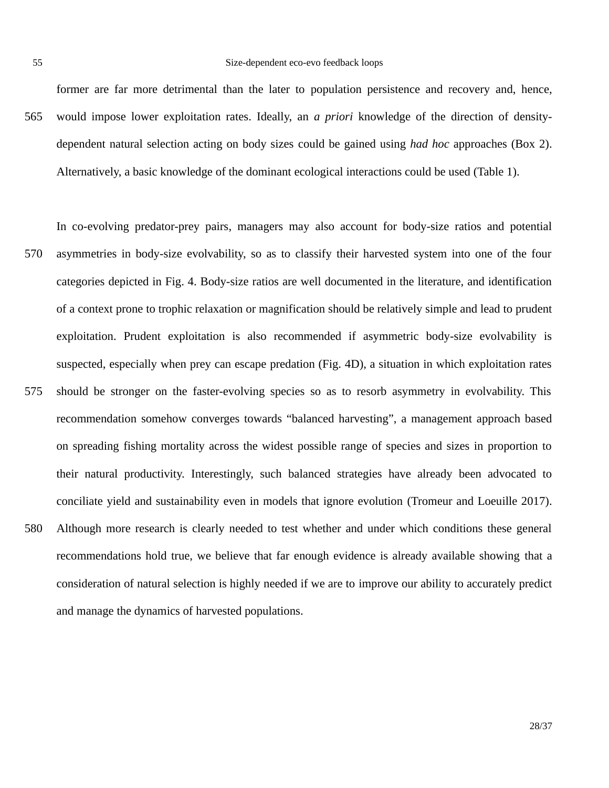55

former are far more detrimental than the later to population persistence and recovery and, hence, would impose lower exploitation rates. Ideally, an *a priori* knowledge of the direction of densitydependent natural selection acting on body sizes could be gained using *had hoc* approaches (Box 2). Alternatively, a basic knowledge of the dominant ecological interactions could be used (Table 1). 565

In co-evolving predator-prey pairs, managers may also account for body-size ratios and potential asymmetries in body-size evolvability, so as to classify their harvested system into one of the four categories depicted in Fig. 4. Body-size ratios are well documented in the literature, and identification of a context prone to trophic relaxation or magnification should be relatively simple and lead to prudent exploitation. Prudent exploitation is also recommended if asymmetric body-size evolvability is suspected, especially when prey can escape predation (Fig. 4D), a situation in which exploitation rates should be stronger on the faster-evolving species so as to resorb asymmetry in evolvability. This recommendation somehow converges towards "balanced harvesting", a management approach based on spreading fishing mortality across the widest possible range of species and sizes in proportion to their natural productivity. Interestingly, such balanced strategies have already been advocated to conciliate yield and sustainability even in models that ignore evolution (Tromeur and Loeuille 2017). Although more research is clearly needed to test whether and under which conditions these general recommendations hold true, we believe that far enough evidence is already available showing that a consideration of natural selection is highly needed if we are to improve our ability to accurately predict and manage the dynamics of harvested populations. 570 575 580

28/37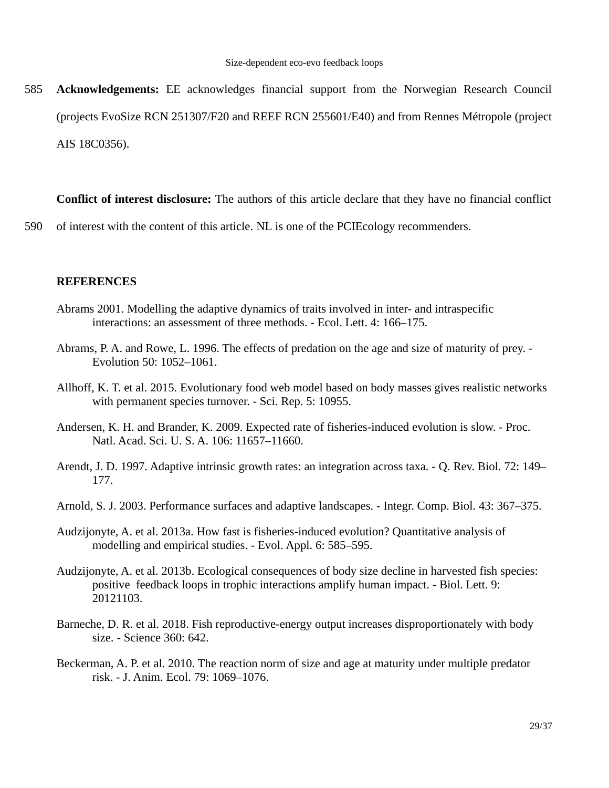**Acknowledgements:** EE acknowledges financial support from the Norwegian Research Council (projects EvoSize RCN 251307/F20 and REEF RCN 255601/E40) and from Rennes Métropole (project AIS 18C0356). 585

**Conflict of interest disclosure:** The authors of this article declare that they have no financial conflict

of interest with the content of this article. NL is one of the PCIEcology recommenders. 590

### **REFERENCES**

- Abrams 2001. Modelling the adaptive dynamics of traits involved in inter- and intraspecific interactions: an assessment of three methods. - Ecol. Lett. 4: 166–175.
- Abrams, P. A. and Rowe, L. 1996. The effects of predation on the age and size of maturity of prey. Evolution 50: 1052–1061.
- Allhoff, K. T. et al. 2015. Evolutionary food web model based on body masses gives realistic networks with permanent species turnover. - Sci. Rep. 5: 10955.
- Andersen, K. H. and Brander, K. 2009. Expected rate of fisheries-induced evolution is slow. Proc. Natl. Acad. Sci. U. S. A. 106: 11657–11660.
- Arendt, J. D. 1997. Adaptive intrinsic growth rates: an integration across taxa. Q. Rev. Biol. 72: 149– 177.
- Arnold, S. J. 2003. Performance surfaces and adaptive landscapes. Integr. Comp. Biol. 43: 367–375.
- Audzijonyte, A. et al. 2013a. How fast is fisheries-induced evolution? Quantitative analysis of modelling and empirical studies. - Evol. Appl. 6: 585–595.
- Audzijonyte, A. et al. 2013b. Ecological consequences of body size decline in harvested fish species: positive feedback loops in trophic interactions amplify human impact. - Biol. Lett. 9: 20121103.
- Barneche, D. R. et al. 2018. Fish reproductive-energy output increases disproportionately with body size. - Science 360: 642.
- Beckerman, A. P. et al. 2010. The reaction norm of size and age at maturity under multiple predator risk. - J. Anim. Ecol. 79: 1069–1076.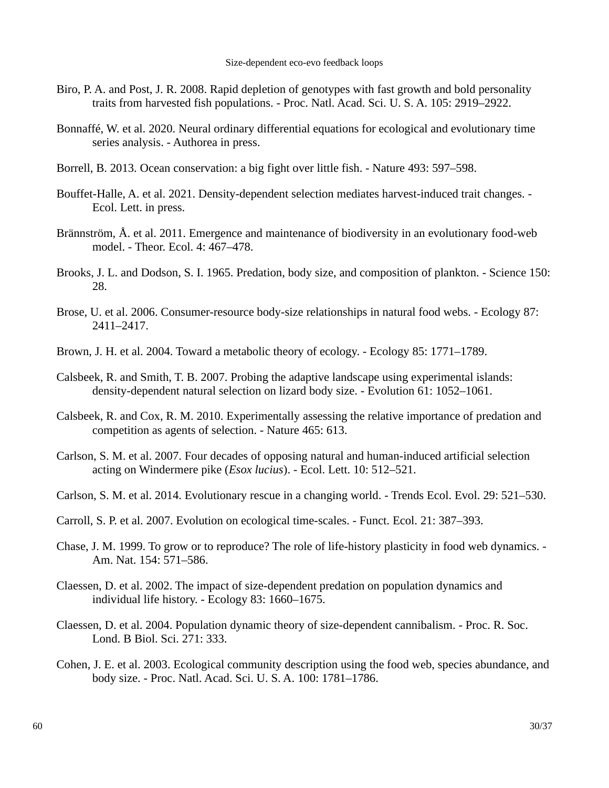- Biro, P. A. and Post, J. R. 2008. Rapid depletion of genotypes with fast growth and bold personality traits from harvested fish populations. - Proc. Natl. Acad. Sci. U. S. A. 105: 2919–2922.
- Bonnaffé, W. et al. 2020. Neural ordinary differential equations for ecological and evolutionary time series analysis. - Authorea in press.
- Borrell, B. 2013. Ocean conservation: a big fight over little fish. Nature 493: 597–598.
- Bouffet-Halle, A. et al. 2021. Density-dependent selection mediates harvest-induced trait changes. Ecol. Lett. in press.
- Brännström, Å. et al. 2011. Emergence and maintenance of biodiversity in an evolutionary food-web model. - Theor. Ecol. 4: 467–478.
- Brooks, J. L. and Dodson, S. I. 1965. Predation, body size, and composition of plankton. Science 150: 28.
- Brose, U. et al. 2006. Consumer-resource body-size relationships in natural food webs. Ecology 87: 2411–2417.
- Brown, J. H. et al. 2004. Toward a metabolic theory of ecology. Ecology 85: 1771–1789.
- Calsbeek, R. and Smith, T. B. 2007. Probing the adaptive landscape using experimental islands: density-dependent natural selection on lizard body size. - Evolution 61: 1052–1061.
- Calsbeek, R. and Cox, R. M. 2010. Experimentally assessing the relative importance of predation and competition as agents of selection. - Nature 465: 613.
- Carlson, S. M. et al. 2007. Four decades of opposing natural and human-induced artificial selection acting on Windermere pike (*Esox lucius*). - Ecol. Lett. 10: 512–521.
- Carlson, S. M. et al. 2014. Evolutionary rescue in a changing world. Trends Ecol. Evol. 29: 521–530.
- Carroll, S. P. et al. 2007. Evolution on ecological time-scales. Funct. Ecol. 21: 387–393.
- Chase, J. M. 1999. To grow or to reproduce? The role of life-history plasticity in food web dynamics. Am. Nat. 154: 571–586.
- Claessen, D. et al. 2002. The impact of size-dependent predation on population dynamics and individual life history. - Ecology 83: 1660–1675.
- Claessen, D. et al. 2004. Population dynamic theory of size-dependent cannibalism. Proc. R. Soc. Lond. B Biol. Sci. 271: 333.
- Cohen, J. E. et al. 2003. Ecological community description using the food web, species abundance, and body size. - Proc. Natl. Acad. Sci. U. S. A. 100: 1781–1786.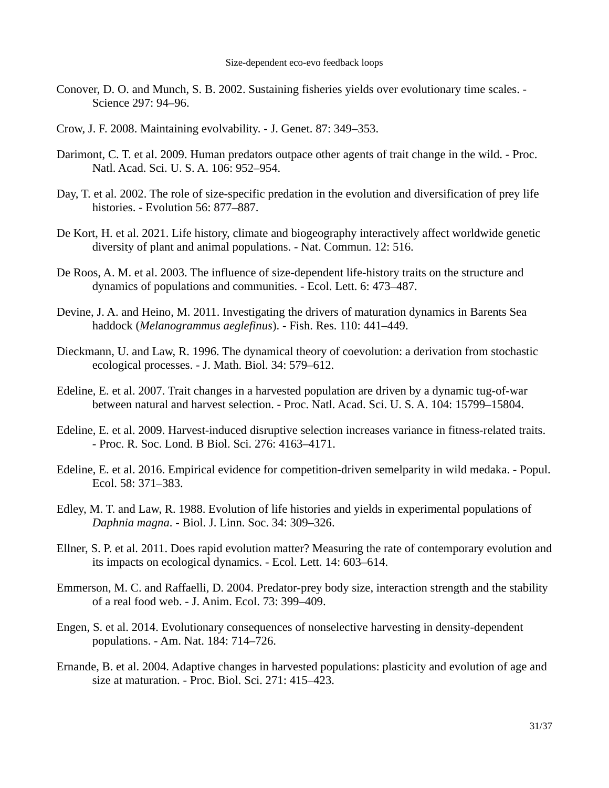- Conover, D. O. and Munch, S. B. 2002. Sustaining fisheries yields over evolutionary time scales. Science 297: 94–96.
- Crow, J. F. 2008. Maintaining evolvability. J. Genet. 87: 349–353.
- Darimont, C. T. et al. 2009. Human predators outpace other agents of trait change in the wild. Proc. Natl. Acad. Sci. U. S. A. 106: 952–954.
- Day, T. et al. 2002. The role of size-specific predation in the evolution and diversification of prey life histories. - Evolution 56: 877–887.
- De Kort, H. et al. 2021. Life history, climate and biogeography interactively affect worldwide genetic diversity of plant and animal populations. - Nat. Commun. 12: 516.
- De Roos, A. M. et al. 2003. The influence of size-dependent life-history traits on the structure and dynamics of populations and communities. - Ecol. Lett. 6: 473–487.
- Devine, J. A. and Heino, M. 2011. Investigating the drivers of maturation dynamics in Barents Sea haddock (*Melanogrammus aeglefinus*). - Fish. Res. 110: 441–449.
- Dieckmann, U. and Law, R. 1996. The dynamical theory of coevolution: a derivation from stochastic ecological processes. - J. Math. Biol. 34: 579–612.
- Edeline, E. et al. 2007. Trait changes in a harvested population are driven by a dynamic tug-of-war between natural and harvest selection. - Proc. Natl. Acad. Sci. U. S. A. 104: 15799–15804.
- Edeline, E. et al. 2009. Harvest-induced disruptive selection increases variance in fitness-related traits. - Proc. R. Soc. Lond. B Biol. Sci. 276: 4163–4171.
- Edeline, E. et al. 2016. Empirical evidence for competition-driven semelparity in wild medaka. Popul. Ecol. 58: 371–383.
- Edley, M. T. and Law, R. 1988. Evolution of life histories and yields in experimental populations of *Daphnia magna*. - Biol. J. Linn. Soc. 34: 309–326.
- Ellner, S. P. et al. 2011. Does rapid evolution matter? Measuring the rate of contemporary evolution and its impacts on ecological dynamics. - Ecol. Lett. 14: 603–614.
- Emmerson, M. C. and Raffaelli, D. 2004. Predator-prey body size, interaction strength and the stability of a real food web. - J. Anim. Ecol. 73: 399–409.
- Engen, S. et al. 2014. Evolutionary consequences of nonselective harvesting in density-dependent populations. - Am. Nat. 184: 714–726.
- Ernande, B. et al. 2004. Adaptive changes in harvested populations: plasticity and evolution of age and size at maturation. - Proc. Biol. Sci. 271: 415–423.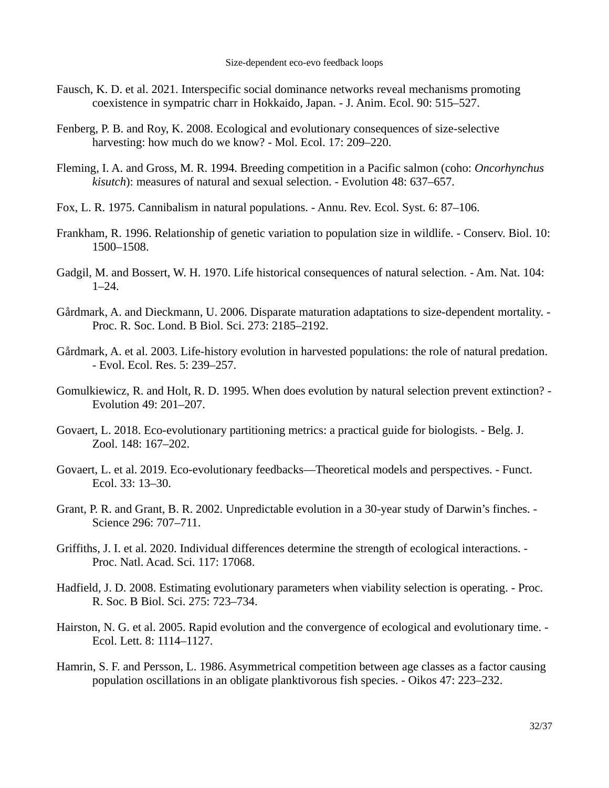- Fausch, K. D. et al. 2021. Interspecific social dominance networks reveal mechanisms promoting coexistence in sympatric charr in Hokkaido, Japan. - J. Anim. Ecol. 90: 515–527.
- Fenberg, P. B. and Roy, K. 2008. Ecological and evolutionary consequences of size-selective harvesting: how much do we know? - Mol. Ecol. 17: 209–220.
- Fleming, I. A. and Gross, M. R. 1994. Breeding competition in a Pacific salmon (coho: *Oncorhynchus kisutch*): measures of natural and sexual selection. - Evolution 48: 637–657.
- Fox, L. R. 1975. Cannibalism in natural populations. Annu. Rev. Ecol. Syst. 6: 87–106.
- Frankham, R. 1996. Relationship of genetic variation to population size in wildlife. Conserv. Biol. 10: 1500–1508.
- Gadgil, M. and Bossert, W. H. 1970. Life historical consequences of natural selection. Am. Nat. 104:  $1 - 24$ .
- Gårdmark, A. and Dieckmann, U. 2006. Disparate maturation adaptations to size-dependent mortality. Proc. R. Soc. Lond. B Biol. Sci. 273: 2185–2192.
- Gårdmark, A. et al. 2003. Life-history evolution in harvested populations: the role of natural predation. - Evol. Ecol. Res. 5: 239–257.
- Gomulkiewicz, R. and Holt, R. D. 1995. When does evolution by natural selection prevent extinction? Evolution 49: 201–207.
- Govaert, L. 2018. Eco-evolutionary partitioning metrics: a practical guide for biologists. Belg. J. Zool. 148: 167–202.
- Govaert, L. et al. 2019. Eco-evolutionary feedbacks—Theoretical models and perspectives. Funct. Ecol. 33: 13–30.
- Grant, P. R. and Grant, B. R. 2002. Unpredictable evolution in a 30-year study of Darwin's finches. Science 296: 707–711.
- Griffiths, J. I. et al. 2020. Individual differences determine the strength of ecological interactions. Proc. Natl. Acad. Sci. 117: 17068.
- Hadfield, J. D. 2008. Estimating evolutionary parameters when viability selection is operating. Proc. R. Soc. B Biol. Sci. 275: 723–734.
- Hairston, N. G. et al. 2005. Rapid evolution and the convergence of ecological and evolutionary time. Ecol. Lett. 8: 1114–1127.
- Hamrin, S. F. and Persson, L. 1986. Asymmetrical competition between age classes as a factor causing population oscillations in an obligate planktivorous fish species. - Oikos 47: 223–232.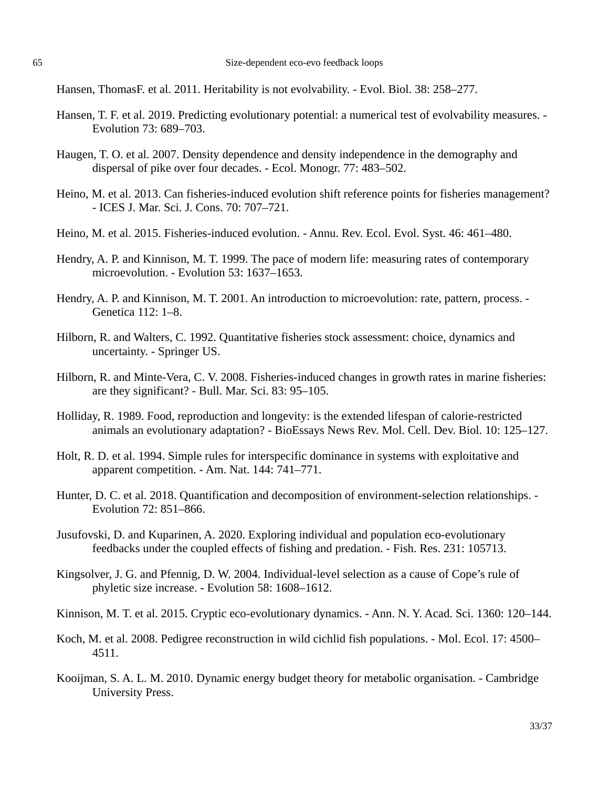Hansen, ThomasF. et al. 2011. Heritability is not evolvability. - Evol. Biol. 38: 258–277.

- Hansen, T. F. et al. 2019. Predicting evolutionary potential: a numerical test of evolvability measures. Evolution 73: 689–703.
- Haugen, T. O. et al. 2007. Density dependence and density independence in the demography and dispersal of pike over four decades. - Ecol. Monogr. 77: 483–502.
- Heino, M. et al. 2013. Can fisheries-induced evolution shift reference points for fisheries management? - ICES J. Mar. Sci. J. Cons. 70: 707–721.
- Heino, M. et al. 2015. Fisheries-induced evolution. Annu. Rev. Ecol. Evol. Syst. 46: 461–480.
- Hendry, A. P. and Kinnison, M. T. 1999. The pace of modern life: measuring rates of contemporary microevolution. - Evolution 53: 1637–1653.
- Hendry, A. P. and Kinnison, M. T. 2001. An introduction to microevolution: rate, pattern, process. Genetica 112: 1–8.
- Hilborn, R. and Walters, C. 1992. Quantitative fisheries stock assessment: choice, dynamics and uncertainty. - Springer US.
- Hilborn, R. and Minte-Vera, C. V. 2008. Fisheries-induced changes in growth rates in marine fisheries: are they significant? - Bull. Mar. Sci. 83: 95–105.
- Holliday, R. 1989. Food, reproduction and longevity: is the extended lifespan of calorie-restricted animals an evolutionary adaptation? - BioEssays News Rev. Mol. Cell. Dev. Biol. 10: 125–127.
- Holt, R. D. et al. 1994. Simple rules for interspecific dominance in systems with exploitative and apparent competition. - Am. Nat. 144: 741–771.
- Hunter, D. C. et al. 2018. Quantification and decomposition of environment-selection relationships. -Evolution 72: 851–866.
- Jusufovski, D. and Kuparinen, A. 2020. Exploring individual and population eco-evolutionary feedbacks under the coupled effects of fishing and predation. - Fish. Res. 231: 105713.
- Kingsolver, J. G. and Pfennig, D. W. 2004. Individual-level selection as a cause of Cope's rule of phyletic size increase. - Evolution 58: 1608–1612.
- Kinnison, M. T. et al. 2015. Cryptic eco-evolutionary dynamics. Ann. N. Y. Acad. Sci. 1360: 120–144.
- Koch, M. et al. 2008. Pedigree reconstruction in wild cichlid fish populations. Mol. Ecol. 17: 4500– 4511.
- Kooijman, S. A. L. M. 2010. Dynamic energy budget theory for metabolic organisation. Cambridge University Press.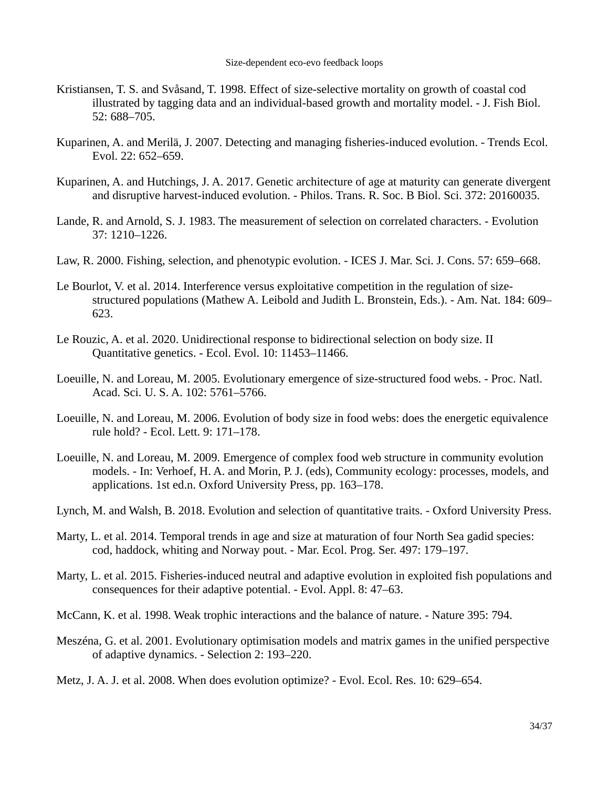- Kristiansen, T. S. and Svåsand, T. 1998. Effect of size-selective mortality on growth of coastal cod illustrated by tagging data and an individual-based growth and mortality model. - J. Fish Biol. 52: 688–705.
- Kuparinen, A. and Merilä, J. 2007. Detecting and managing fisheries-induced evolution. Trends Ecol. Evol. 22: 652–659.
- Kuparinen, A. and Hutchings, J. A. 2017. Genetic architecture of age at maturity can generate divergent and disruptive harvest-induced evolution. - Philos. Trans. R. Soc. B Biol. Sci. 372: 20160035.
- Lande, R. and Arnold, S. J. 1983. The measurement of selection on correlated characters. Evolution 37: 1210–1226.
- Law, R. 2000. Fishing, selection, and phenotypic evolution. ICES J. Mar. Sci. J. Cons. 57: 659–668.
- Le Bourlot, V. et al. 2014. Interference versus exploitative competition in the regulation of sizestructured populations (Mathew A. Leibold and Judith L. Bronstein, Eds.). - Am. Nat. 184: 609– 623.
- Le Rouzic, A. et al. 2020. Unidirectional response to bidirectional selection on body size. II Quantitative genetics. - Ecol. Evol. 10: 11453–11466.
- Loeuille, N. and Loreau, M. 2005. Evolutionary emergence of size-structured food webs. Proc. Natl. Acad. Sci. U. S. A. 102: 5761–5766.
- Loeuille, N. and Loreau, M. 2006. Evolution of body size in food webs: does the energetic equivalence rule hold? - Ecol. Lett. 9: 171–178.
- Loeuille, N. and Loreau, M. 2009. Emergence of complex food web structure in community evolution models. - In: Verhoef, H. A. and Morin, P. J. (eds), Community ecology: processes, models, and applications. 1st ed.n. Oxford University Press, pp. 163–178.
- Lynch, M. and Walsh, B. 2018. Evolution and selection of quantitative traits. Oxford University Press.
- Marty, L. et al. 2014. Temporal trends in age and size at maturation of four North Sea gadid species: cod, haddock, whiting and Norway pout. - Mar. Ecol. Prog. Ser. 497: 179–197.
- Marty, L. et al. 2015. Fisheries-induced neutral and adaptive evolution in exploited fish populations and consequences for their adaptive potential. - Evol. Appl. 8: 47–63.
- McCann, K. et al. 1998. Weak trophic interactions and the balance of nature. Nature 395: 794.
- Meszéna, G. et al. 2001. Evolutionary optimisation models and matrix games in the unified perspective of adaptive dynamics. - Selection 2: 193–220.
- Metz, J. A. J. et al. 2008. When does evolution optimize? Evol. Ecol. Res. 10: 629–654.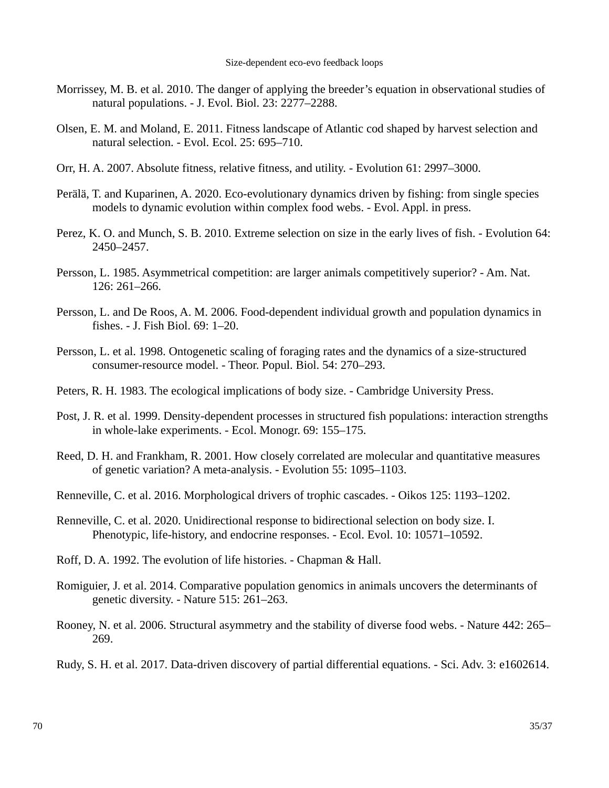- Morrissey, M. B. et al. 2010. The danger of applying the breeder's equation in observational studies of natural populations. - J. Evol. Biol. 23: 2277–2288.
- Olsen, E. M. and Moland, E. 2011. Fitness landscape of Atlantic cod shaped by harvest selection and natural selection. - Evol. Ecol. 25: 695–710.
- Orr, H. A. 2007. Absolute fitness, relative fitness, and utility. Evolution 61: 2997–3000.
- Perälä, T. and Kuparinen, A. 2020. Eco-evolutionary dynamics driven by fishing: from single species models to dynamic evolution within complex food webs. - Evol. Appl. in press.
- Perez, K. O. and Munch, S. B. 2010. Extreme selection on size in the early lives of fish. Evolution 64: 2450–2457.
- Persson, L. 1985. Asymmetrical competition: are larger animals competitively superior? Am. Nat. 126: 261–266.
- Persson, L. and De Roos, A. M. 2006. Food-dependent individual growth and population dynamics in fishes. - J. Fish Biol. 69: 1–20.
- Persson, L. et al. 1998. Ontogenetic scaling of foraging rates and the dynamics of a size-structured consumer-resource model. - Theor. Popul. Biol. 54: 270–293.
- Peters, R. H. 1983. The ecological implications of body size. Cambridge University Press.
- Post, J. R. et al. 1999. Density-dependent processes in structured fish populations: interaction strengths in whole-lake experiments. - Ecol. Monogr. 69: 155–175.
- Reed, D. H. and Frankham, R. 2001. How closely correlated are molecular and quantitative measures of genetic variation? A meta‐analysis. - Evolution 55: 1095–1103.
- Renneville, C. et al. 2016. Morphological drivers of trophic cascades. Oikos 125: 1193–1202.
- Renneville, C. et al. 2020. Unidirectional response to bidirectional selection on body size. I. Phenotypic, life-history, and endocrine responses. - Ecol. Evol. 10: 10571–10592.
- Roff, D. A. 1992. The evolution of life histories. Chapman & Hall.
- Romiguier, J. et al. 2014. Comparative population genomics in animals uncovers the determinants of genetic diversity. - Nature 515: 261–263.
- Rooney, N. et al. 2006. Structural asymmetry and the stability of diverse food webs. Nature 442: 265– 269.
- Rudy, S. H. et al. 2017. Data-driven discovery of partial differential equations. Sci. Adv. 3: e1602614.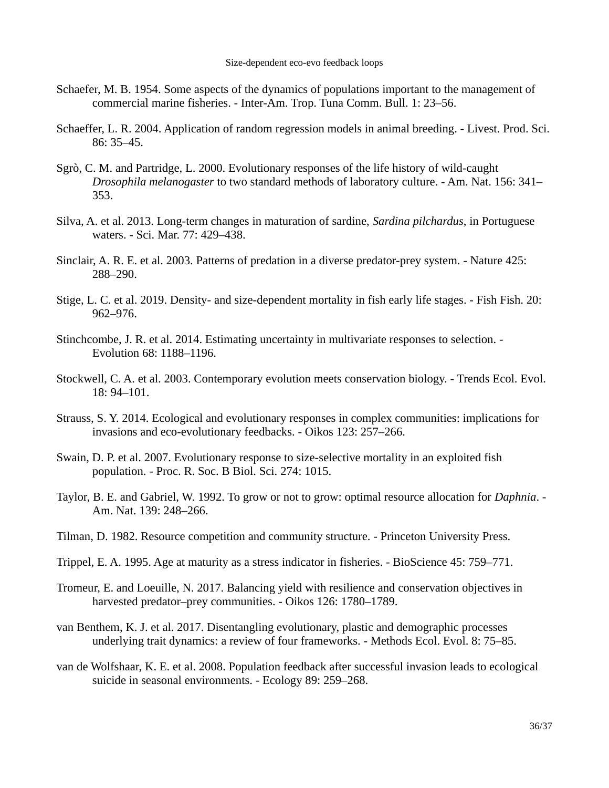- Schaefer, M. B. 1954. Some aspects of the dynamics of populations important to the management of commercial marine fisheries. - Inter-Am. Trop. Tuna Comm. Bull. 1: 23–56.
- Schaeffer, L. R. 2004. Application of random regression models in animal breeding. Livest. Prod. Sci. 86: 35–45.
- Sgrò, C. M. and Partridge, L. 2000. Evolutionary responses of the life history of wild‐caught *Drosophila melanogaster* to two standard methods of laboratory culture. - Am. Nat. 156: 341– 353.
- Silva, A. et al. 2013. Long-term changes in maturation of sardine, *Sardina pilchardus*, in Portuguese waters. - Sci. Mar. 77: 429–438.
- Sinclair, A. R. E. et al. 2003. Patterns of predation in a diverse predator-prey system. Nature 425: 288–290.
- Stige, L. C. et al. 2019. Density- and size-dependent mortality in fish early life stages. Fish Fish. 20: 962–976.
- Stinchcombe, J. R. et al. 2014. Estimating uncertainty in multivariate responses to selection. Evolution 68: 1188–1196.
- Stockwell, C. A. et al. 2003. Contemporary evolution meets conservation biology. Trends Ecol. Evol. 18: 94–101.
- Strauss, S. Y. 2014. Ecological and evolutionary responses in complex communities: implications for invasions and eco-evolutionary feedbacks. - Oikos 123: 257–266.
- Swain, D. P. et al. 2007. Evolutionary response to size-selective mortality in an exploited fish population. - Proc. R. Soc. B Biol. Sci. 274: 1015.
- Taylor, B. E. and Gabriel, W. 1992. To grow or not to grow: optimal resource allocation for *Daphnia*. Am. Nat. 139: 248–266.
- Tilman, D. 1982. Resource competition and community structure. Princeton University Press.
- Trippel, E. A. 1995. Age at maturity as a stress indicator in fisheries. BioScience 45: 759–771.
- Tromeur, E. and Loeuille, N. 2017. Balancing yield with resilience and conservation objectives in harvested predator–prey communities. - Oikos 126: 1780–1789.
- van Benthem, K. J. et al. 2017. Disentangling evolutionary, plastic and demographic processes underlying trait dynamics: a review of four frameworks. - Methods Ecol. Evol. 8: 75–85.
- van de Wolfshaar, K. E. et al. 2008. Population feedback after successful invasion leads to ecological suicide in seasonal environments. - Ecology 89: 259–268.